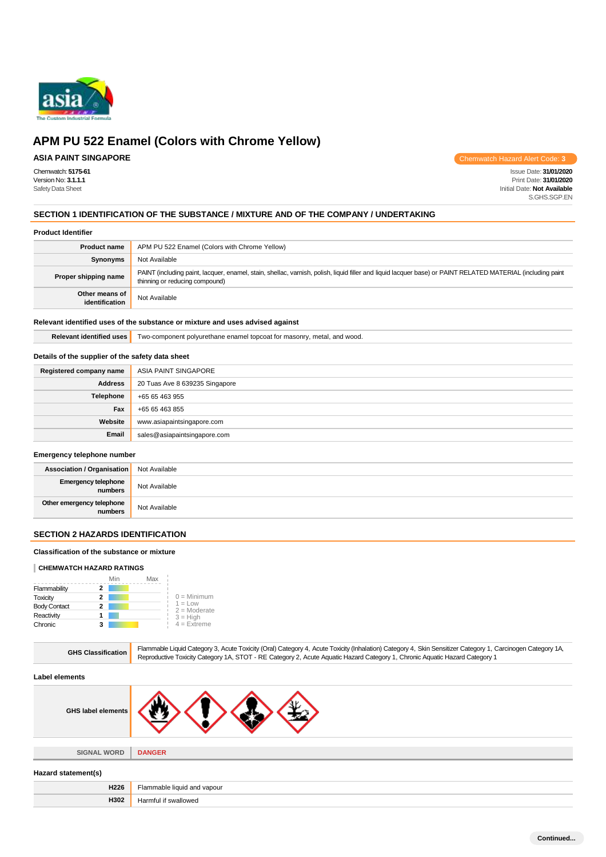

# **APM PU 522 Enamel (Colors with Chrome Yellow)**

### **ASIA PAINT SINGAPORE**

Chemwatch Hazard Alert Code: **3**

Chemwatch: **5175-61** Issue Date: **31/01/2020** Version No: **3.1.1.1** Print Date: **31/01/2020 Initial Date: Not Available** S.GHS.SGP.EN

#### **SECTION 1 IDENTIFICATION OF THE SUBSTANCE / MIXTURE AND OF THE COMPANY / UNDERTAKING**

#### **Product Identifier**

| <b>Product name</b>              | APM PU 522 Enamel (Colors with Chrome Yellow)                                                                                                                                                 |
|----------------------------------|-----------------------------------------------------------------------------------------------------------------------------------------------------------------------------------------------|
| Synonyms                         | Not Available                                                                                                                                                                                 |
| Proper shipping name             | PAINT (including paint, lacquer, enamel, stain, shellac, varnish, polish, liquid filler and liquid lacquer base) or PAINT RELATED MATERIAL (including paint<br>thinning or reducing compound) |
| Other means of<br>identification | Not Available                                                                                                                                                                                 |

#### **Relevant identified uses of the substance or mixture and uses advised against**

**Relevant identified uses** Two-component polyurethane enamel topcoat for masonry, metal, and wood.

#### **Details of the supplier of the safety data sheet**

| Registered company name | ASIA PAINT SINGAPORE           |
|-------------------------|--------------------------------|
| <b>Address</b>          | 20 Tuas Ave 8 639235 Singapore |
| <b>Telephone</b>        | +65 65 463 955                 |
| Fax                     | +65 65 463 855                 |
| Website                 | www.asiapaintsingapore.com     |
| Email                   | sales@asiapaintsingapore.com   |

#### **Emergency telephone number**

| <b>Association / Organisation</b> Not Available |               |
|-------------------------------------------------|---------------|
| Emergency telephone<br>numbers                  | Not Available |
| Other emergency telephone<br>numbers            | Not Available |

#### **SECTION 2 HAZARDS IDENTIFICATION**

#### **Classification of the substance or mixture**

#### **CHEMWATCH HAZARD RATINGS**

|                     | Min | Max |                             |
|---------------------|-----|-----|-----------------------------|
| Flammability        |     |     |                             |
| Toxicity            | 2   |     | $0 =$ Minimum               |
| <b>Body Contact</b> | 2   |     | $1 = Low$<br>$2 =$ Moderate |
| Reactivity          |     |     | $3 = High$                  |
| Chronic             |     |     | $4 =$ Extreme               |

| <b>GHS Classification</b> | Flammable Liquid Category 3, Acute Toxicity (Oral) Category 4, Acute Toxicity (Inhalation) Category 4, Skin Sensitizer Category 1, Carcinogen Category 1A,<br>Reproductive Toxicity Category 1A, STOT - RE Category 2, Acute Aquatic Hazard Category 1, Chronic Aquatic Hazard Category 1 |
|---------------------------|-------------------------------------------------------------------------------------------------------------------------------------------------------------------------------------------------------------------------------------------------------------------------------------------|
| Label elements            |                                                                                                                                                                                                                                                                                           |
| <b>GHS label elements</b> |                                                                                                                                                                                                                                                                                           |
| <b>SIGNAL WORD</b>        | <b>DANGER</b>                                                                                                                                                                                                                                                                             |
| Hazard statement(s)       |                                                                                                                                                                                                                                                                                           |
| H226                      | Flammable liquid and vapour                                                                                                                                                                                                                                                               |
| H302                      | Harmful if swallowed                                                                                                                                                                                                                                                                      |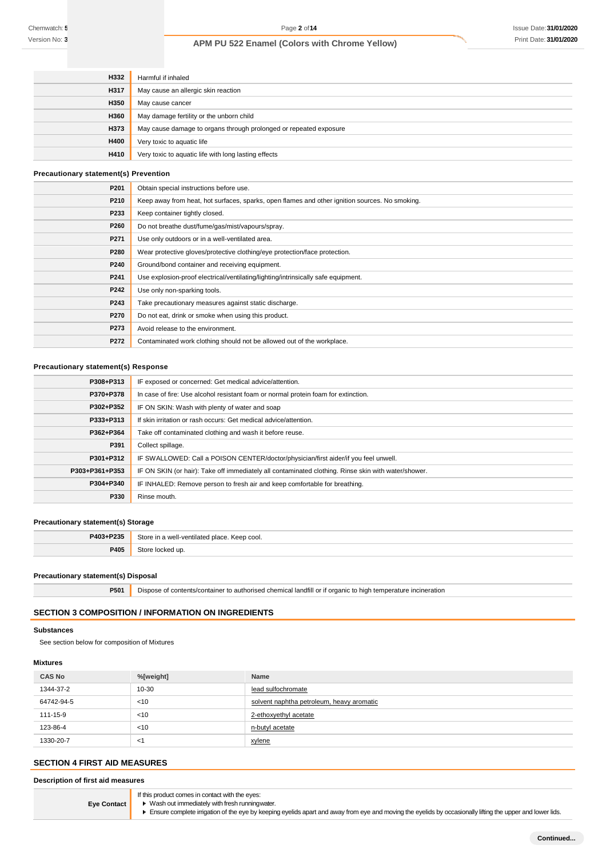| H332 | Harmful if inhaled                                                |
|------|-------------------------------------------------------------------|
| H317 | May cause an allergic skin reaction                               |
| H350 | May cause cancer                                                  |
| H360 | May damage fertility or the unborn child                          |
| H373 | May cause damage to organs through prolonged or repeated exposure |
| H400 | Very toxic to aquatic life                                        |
| H410 | Very toxic to aquatic life with long lasting effects              |

#### **Precautionary statement(s) Prevention**

| P201             | Obtain special instructions before use.                                                        |
|------------------|------------------------------------------------------------------------------------------------|
| P210             | Keep away from heat, hot surfaces, sparks, open flames and other ignition sources. No smoking. |
| P233             | Keep container tightly closed.                                                                 |
| P260             | Do not breathe dust/fume/gas/mist/vapours/spray.                                               |
| P271             | Use only outdoors or in a well-ventilated area.                                                |
| P280             | Wear protective gloves/protective clothing/eye protection/face protection.                     |
| P240             | Ground/bond container and receiving equipment.                                                 |
| P241             | Use explosion-proof electrical/ventilating/lighting/intrinsically safe equipment.              |
| P242             | Use only non-sparking tools.                                                                   |
| P243             | Take precautionary measures against static discharge.                                          |
| P <sub>270</sub> | Do not eat, drink or smoke when using this product.                                            |
| P273             | Avoid release to the environment.                                                              |
| P272             | Contaminated work clothing should not be allowed out of the workplace.                         |

### **Precautionary statement(s) Response**

| P308+P313      | IF exposed or concerned: Get medical advice/attention.                                              |
|----------------|-----------------------------------------------------------------------------------------------------|
| P370+P378      | In case of fire: Use alcohol resistant foam or normal protein foam for extinction.                  |
| P302+P352      | IF ON SKIN: Wash with plenty of water and soap                                                      |
| P333+P313      | If skin irritation or rash occurs: Get medical advice/attention.                                    |
| P362+P364      | Take off contaminated clothing and wash it before reuse.                                            |
| P391           | Collect spillage.                                                                                   |
| P301+P312      | IF SWALLOWED: Call a POISON CENTER/doctor/physician/first aider/if you feel unwell.                 |
| P303+P361+P353 | IF ON SKIN (or hair): Take off immediately all contaminated clothing. Rinse skin with water/shower. |
| P304+P340      | IF INHALED: Remove person to fresh air and keep comfortable for breathing.                          |
| P330           | Rinse mouth.                                                                                        |
|                |                                                                                                     |

#### **Precautionary statement(s) Storage**

| P403+P235 | a well-ventilated place. Keep cool.<br>.`‡∩r∩<br>ın.<br>. |
|-----------|-----------------------------------------------------------|
| P405      | זו ר                                                      |
|           |                                                           |

#### **Precautionary statement(s) Disposal**

**P501** Dispose of contents/container to authorised chemical landfill or if organic to high temperature incineration

### **SECTION 3 COMPOSITION / INFORMATION ON INGREDIENTS**

### **Substances**

See section below for composition of Mixtures

### **Mixtures**

| <b>CAS No</b> | %[weight] | <b>Name</b>                               |
|---------------|-----------|-------------------------------------------|
| 1344-37-2     | $10 - 30$ | lead sulfochromate                        |
| 64742-94-5    | < 10      | solvent naphtha petroleum, heavy aromatic |
| 111-15-9      | < 10      | 2-ethoxyethyl acetate                     |
| 123-86-4      | $<$ 10    | n-butyl acetate                           |
| 1330-20-7     | $\leq$    | xylene                                    |

### **SECTION 4 FIRST AID MEASURES**

| Description of first aid measures |                                                 |  |
|-----------------------------------|-------------------------------------------------|--|
|                                   | If this product comes in contact with the eyes: |  |
| <b>Eve Contact</b>                | • Wash out immediately with fresh runningwater. |  |

Ensure complete irrigation of the eye by keeping eyelids apart and away from eye and moving the eyelids by occasionally lifting the upper and lower lids.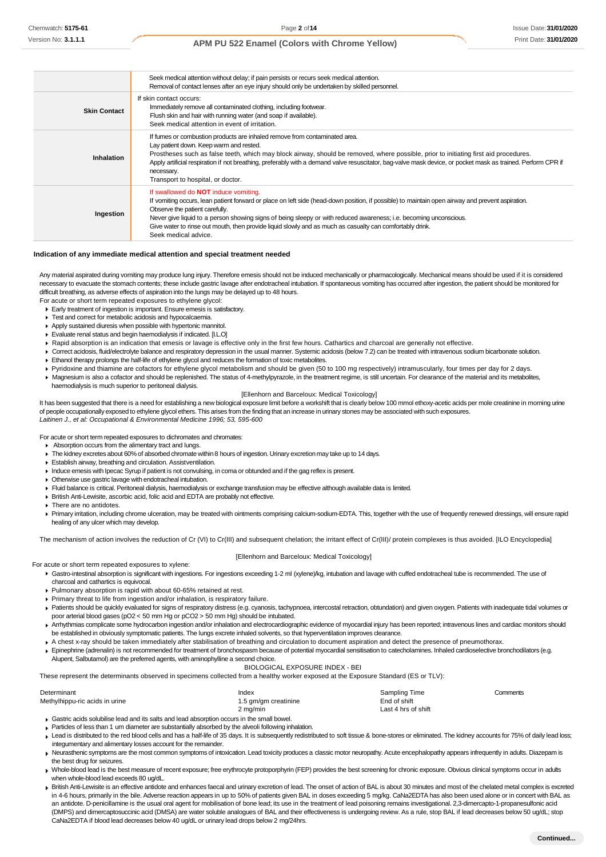# Print Date: **31/01/2020 APM PU 522 Enamel (Colors with Chrome Yellow)**

|                     | Seek medical attention without delay; if pain persists or recurs seek medical attention.<br>Removal of contact lenses after an eye injury should only be undertaken by skilled personnel.                                                                                                                                                                                                                                                                                                  |
|---------------------|--------------------------------------------------------------------------------------------------------------------------------------------------------------------------------------------------------------------------------------------------------------------------------------------------------------------------------------------------------------------------------------------------------------------------------------------------------------------------------------------|
| <b>Skin Contact</b> | If skin contact occurs:<br>Immediately remove all contaminated clothing, including footwear.<br>Flush skin and hair with running water (and soap if available).<br>Seek medical attention in event of irritation.                                                                                                                                                                                                                                                                          |
| Inhalation          | If fumes or combustion products are inhaled remove from contaminated area.<br>Lay patient down. Keep warm and rested.<br>Prostheses such as false teeth, which may block airway, should be removed, where possible, prior to initiating first aid procedures.<br>Apply artificial respiration if not breathing, preferably with a demand valve resuscitator, bag-valve mask device, or pocket mask as trained. Perform CPR if<br>necessary.<br>Transport to hospital, or doctor.           |
| Ingestion           | If swallowed do <b>NOT</b> induce vomiting.<br>If vomiting occurs, lean patient forward or place on left side (head-down position, if possible) to maintain open airway and prevent aspiration.<br>Observe the patient carefully.<br>Never give liquid to a person showing signs of being sleepy or with reduced awareness; i.e. becoming unconscious.<br>Give water to rinse out mouth, then provide liquid slowly and as much as casualty can comfortably drink.<br>Seek medical advice. |

#### **Indication of any immediate medical attention and special treatment needed**

Any material aspirated during vomiting may produce lung injury. Therefore emesis should not be induced mechanically or pharmacologically. Mechanical means should be used if it is considered necessary to evacuate the stomach contents; these include gastric lavage after endotracheal intubation. If spontaneous vomiting has occurred after ingestion, the patient should be monitored for difficult breathing, as adverse effects of aspiration into the lungs may be delayed up to 48 hours.

- For acute or short term repeated exposures to ethylene glycol:
- Early treatment of ingestion is important. Ensure emesis is satisfactory.
- Test and correct for metabolic acidosis and hypocalcaemia.
- Apply sustained diuresis when possible with hypertonic mannitol.
- Evaluate renal status and begin haemodialysis if indicated. [I.L.O]
- Rapid absorption is an indication that emesis or lavage is effective only in the first few hours. Cathartics and charcoal are generally not effective.
- Correct acidosis, fluid/electrolyte balance and respiratory depression in the usual manner. Systemic acidosis (below 7.2) can be treated with intravenous sodium bicarbonate solution.
- Ethanol therapy prolongs the half-life of ethylene glycol and reduces the formation of toxic metabolites.
- ▶ Pyridoxine and thiamine are cofactors for ethylene glycol metabolism and should be given (50 to 100 mg respectively) intramuscularly, four times per day for 2 days.

▶ Magnesium is also a cofactor and should be replenished. The status of 4-methylpyrazole, in the treatment regime, is still uncertain. For clearance of the material and its metabolites, haemodialysis is much superior to peritoneal dialysis.

#### [Ellenhorn and Barceloux: Medical Toxicology]

It has been suggested that there is a need for establishing a new biological exposure limit before a workshift that is clearly below 100 mmol ethoxy-acetic acids per mole creatinine in morning urine of people occupationally exposed to ethylene glycol ethers. This arises from the finding that an increase in urinary stones may be associated with such exposures. *Laitinen J., et al: Occupational & Environmental Medicine 1996; 53, 595-600*

For acute or short term repeated exposures to dichromates and chromates:

- Absorption occurs from the alimentary tract and lungs.
- The kidney excretes about 60%of absorbed chromate within 8 hours of ingestion. Urinary excretion may take up to 14 days.
- Establish airway, breathing and circulation. Assistventilation.
- Induce emesis with Ipecac Syrup if patient is not convulsing, in coma or obtunded and if the gag reflex is present.
- Otherwise use gastric lavage with endotracheal intubation.
- Fluid balance is critical. Peritoneal dialysis, haemodialysis or exchange transfusion may be effective although available data is limited.
- British Anti-Lewisite, ascorbic acid, folic acid and EDTA are probably not effective.
- There are no antidotes.
- Primary irritation, including chrome ulceration, may be treated with ointments comprising calcium-sodium-EDTA. This, together with the use of frequently renewed dressings, will ensure rapid healing of any ulcer which may develop.

The mechanism of action involves the reduction of Cr (VI) to Cr(III) and subsequent chelation; the irritant effect of Cr(III)/ protein complexes is thus avoided. [ILO Encyclopedia]

#### [Ellenhorn and Barceloux: Medical Toxicology]

For acute or short term repeated exposures to xylene:

- Gastro-intestinal absorption is significant with ingestions. For ingestions exceeding 1-2 ml (xylene)/kg, intubation and lavage with cuffed endotracheal tube is recommended. The use of charcoal and cathartics is equivocal.
- Pulmonary absorption is rapid with about 60-65% retained at rest.
- Primary threat to life from ingestion and/or inhalation, is respiratory failure.
- ▶ Patients should be quickly evaluated for signs of respiratory distress (e.g. cyanosis, tachypnoea, intercostal retraction, obtundation) and given oxygen. Patients with inadequate tidal volumes or poor arterial blood gases (pO2 < 50 mm Hg or pCO2 > 50 mm Hg) should be intubated.
- Arrhythmias complicate some hydrocarbon ingestion and/or inhalation and electrocardiographic evidence of myocardial injury has been reported; intravenous lines and cardiac monitors should be established in obviously symptomatic patients. The lungs excrete inhaled solvents, so that hyperventilation improves clearance.
- A chest x-ray should be taken immediately after stabilisation of breathing and circulation to document aspiration and detect the presence of pneumothorax. Epinephrine (adrenalin) is not recommended for treatment of bronchospasm because of potential myocardial sensitisation to catecholamines. Inhaled cardioselective bronchodilators (e.g. Alupent, Salbutamol) are the preferred agents, with aminophylline a second choice.

#### BIOLOGICAL EXPOSURE INDEX - BEI

These represent the determinants observed in specimens collected from a healthy worker exposed at the Exposure Standard (ES or TLV):

| Determinant                                                                                | Index                | Sampling Time       | Comments |
|--------------------------------------------------------------------------------------------|----------------------|---------------------|----------|
| Methylhippu-ric acids in urine                                                             | 1.5 gm/gm creatinine | End of shift        |          |
|                                                                                            | 2 mg/min             | Last 4 hrs of shift |          |
| Gastric acids solubilise lead and its salts and lead absorption occurs in the small bowel. |                      |                     |          |

Particles of less than 1 um diameter are substantially absorbed by the alveoli following inhalation.

Lead is distributed to the red blood cells and has a half-life of 35 days. It is subsequently redistributed to soft tissue & bone-stores or eliminated. The kidney accounts for 75% of daily lead loss; integumentary and alimentary losses account for the remainder.

- Neurasthenic symptoms are the most common symptoms of intoxication. Lead toxicity produces a classic motor neuropathy. Acute encephalopathy appears infrequently in adults. Diazepam is the best drug for seizures.
- > Whole-blood lead is the best measure of recent exposure; free erythrocyte protoporphyrin (FEP) provides the best screening for chronic exposure. Obvious clinical symptoms occur in adults when whole-blood lead exceeds 80 ug/dL.
- British Anti-Lewisite is an effective antidote and enhances faecal and urinary excretion of lead. The onset of action of BAL is about 30 minutes and most of the chelated metal complex is excreted in 4-6 hours, primarily in the bile. Adverse reaction appears in up to 50% of patients given BAL in doses exceeding 5 mg/kg. CaNa2EDTA has also been used alone or in concert with BAL as an antidote. D-penicillamine is the usual oral agent for mobilisation of bone lead; its use in the treatment of lead poisoning remains investigational. 2,3-dimercapto-1-propanesulfonic acid (DMPS) and dimercaptosuccinic acid (DMSA) are water soluble analogues of BAL and their effectiveness is undergoing review. As a rule, stop BAL if lead decreases below 50 ug/dL; stop CaNa2EDTA if blood lead decreases below 40 ug/dL or urinary lead drops below 2 mg/24hrs.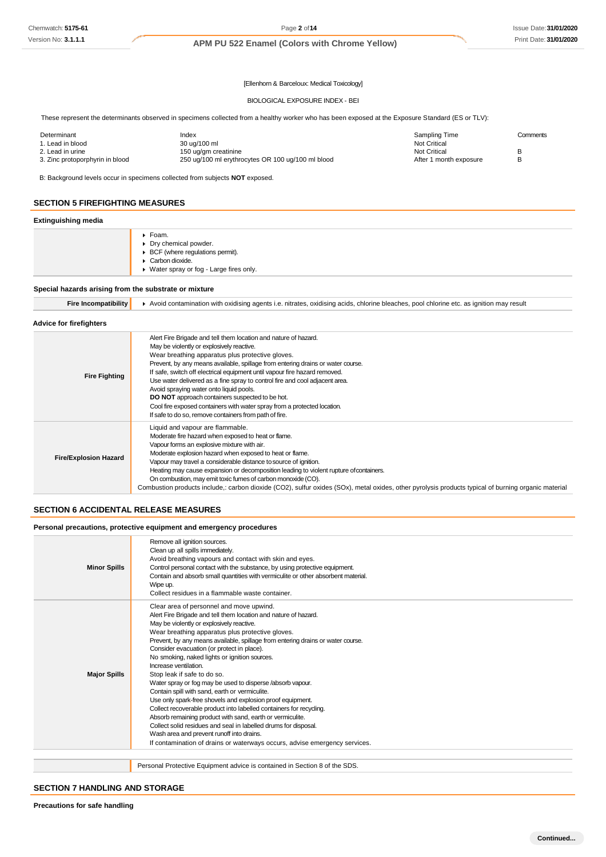[Ellenhorn & Barceloux: Medical Toxicology]

#### BIOLOGICAL EXPOSURE INDEX - BEI

These represent the determinants observed in specimens collected from a healthy worker who has been exposed at the Exposure Standard (ES or TLV):

| Determinant                     | Index                                             | Sampling Time          | Comments |
|---------------------------------|---------------------------------------------------|------------------------|----------|
| 1. Lead in blood                | 30 ug/100 ml                                      | <b>Not Critical</b>    |          |
| 2. Lead in urine                | 150 ug/gm creatinine                              | Not Critical           |          |
| 3. Zinc protoporphyrin in blood | 250 ug/100 ml erythrocytes OR 100 ug/100 ml blood | After 1 month exposure |          |

B: Background levels occur in specimens collected from subjects **NOT** exposed.

### **SECTION 5 FIREFIGHTING MEASURES**

### **Extinguishing media**

|  |  | ▶ Foam.<br>Dry chemical powder.<br>▶ BCF (where regulations permit).<br>Carbon dioxide.<br>▶ Water spray or fog - Large fires only. |
|--|--|-------------------------------------------------------------------------------------------------------------------------------------|
|--|--|-------------------------------------------------------------------------------------------------------------------------------------|

#### **Special hazards arising from the substrate or mixture**

|  | Fire Incompatibility   Avoid contamination with oxidising agents i.e. nitrates, oxidising acids, chlorine bleaches, pool chlorine etc. as ignition may result |
|--|---------------------------------------------------------------------------------------------------------------------------------------------------------------|
|--|---------------------------------------------------------------------------------------------------------------------------------------------------------------|

#### **Advice for firefighters**

| <b>Fire Fighting</b>         | Alert Fire Brigade and tell them location and nature of hazard.<br>May be violently or explosively reactive.<br>Wear breathing apparatus plus protective gloves.<br>Prevent, by any means available, spillage from entering drains or water course.<br>If safe, switch off electrical equipment until vapour fire hazard removed.<br>Use water delivered as a fine spray to control fire and cool adjacent area.<br>Avoid spraying water onto liquid pools.<br><b>DO NOT</b> approach containers suspected to be hot.<br>Cool fire exposed containers with water spray from a protected location.                                                 |
|------------------------------|---------------------------------------------------------------------------------------------------------------------------------------------------------------------------------------------------------------------------------------------------------------------------------------------------------------------------------------------------------------------------------------------------------------------------------------------------------------------------------------------------------------------------------------------------------------------------------------------------------------------------------------------------|
| <b>Fire/Explosion Hazard</b> | If safe to do so, remove containers from path of fire.<br>Liquid and vapour are flammable.<br>Moderate fire hazard when exposed to heat or flame.<br>Vapour forms an explosive mixture with air.<br>Moderate explosion hazard when exposed to heat or flame.<br>Vapour may travel a considerable distance to source of ignition.<br>Heating may cause expansion or decomposition leading to violent rupture of containers.<br>On combustion, may emit toxic fumes of carbon monoxide (CO).<br>Combustion products include,: carbon dioxide (CO2), sulfur oxides (SOx), metal oxides, other pyrolysis products typical of burning organic material |

### **SECTION 6 ACCIDENTAL RELEASE MEASURES**

#### **Personal precautions, protective equipment and emergency procedures**

| <b>Minor Spills</b> | Remove all ignition sources.<br>Clean up all spills immediately.<br>Avoid breathing vapours and contact with skin and eyes.<br>Control personal contact with the substance, by using protective equipment.<br>Contain and absorb small quantities with vermiculite or other absorbent material.<br>Wipe up.<br>Collect residues in a flammable waste container.                                                                                                                                                                                                                                                                                                                                                                                                                                                                                                                                                                                                        |
|---------------------|------------------------------------------------------------------------------------------------------------------------------------------------------------------------------------------------------------------------------------------------------------------------------------------------------------------------------------------------------------------------------------------------------------------------------------------------------------------------------------------------------------------------------------------------------------------------------------------------------------------------------------------------------------------------------------------------------------------------------------------------------------------------------------------------------------------------------------------------------------------------------------------------------------------------------------------------------------------------|
| <b>Major Spills</b> | Clear area of personnel and move upwind.<br>Alert Fire Brigade and tell them location and nature of hazard.<br>May be violently or explosively reactive.<br>Wear breathing apparatus plus protective gloves.<br>Prevent, by any means available, spillage from entering drains or water course.<br>Consider evacuation (or protect in place).<br>No smoking, naked lights or ignition sources.<br>Increase ventilation.<br>Stop leak if safe to do so.<br>Water spray or fog may be used to disperse /absorb vapour.<br>Contain spill with sand, earth or vermiculite.<br>Use only spark-free shovels and explosion proof equipment.<br>Collect recoverable product into labelled containers for recycling.<br>Absorb remaining product with sand, earth or vermiculite.<br>Collect solid residues and seal in labelled drums for disposal.<br>Wash area and prevent runoff into drains.<br>If contamination of drains or waterways occurs, advise emergency services. |
|                     |                                                                                                                                                                                                                                                                                                                                                                                                                                                                                                                                                                                                                                                                                                                                                                                                                                                                                                                                                                        |
|                     | Personal Protective Equipment advice is contained in Section 8 of the SDS.                                                                                                                                                                                                                                                                                                                                                                                                                                                                                                                                                                                                                                                                                                                                                                                                                                                                                             |

### **SECTION 7 HANDLING AND STORAGE**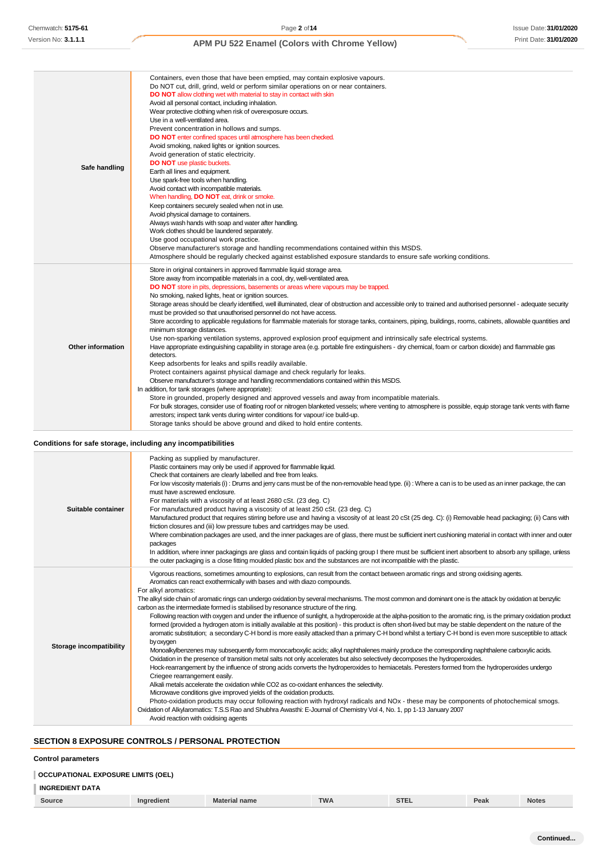| Safe handling            | Containers, even those that have been emptied, may contain explosive vapours.<br>Do NOT cut, drill, grind, weld or perform similar operations on or near containers.<br>DO NOT allow clothing wet with material to stay in contact with skin<br>Avoid all personal contact, including inhalation.<br>Wear protective clothing when risk of overexposure occurs.<br>Use in a well-ventilated area.<br>Prevent concentration in hollows and sumps.<br>DO NOT enter confined spaces until atmosphere has been checked.<br>Avoid smoking, naked lights or ignition sources.<br>Avoid generation of static electricity.<br><b>DO NOT</b> use plastic buckets.<br>Earth all lines and equipment.<br>Use spark-free tools when handling.<br>Avoid contact with incompatible materials.<br>When handling, DO NOT eat, drink or smoke.<br>Keep containers securely sealed when not in use.<br>Avoid physical damage to containers.<br>Always wash hands with soap and water after handling.<br>Work clothes should be laundered separately.<br>Use good occupational work practice.<br>Observe manufacturer's storage and handling recommendations contained within this MSDS.<br>Atmosphere should be regularly checked against established exposure standards to ensure safe working conditions.                                                                                                                                                                                                                                                                                                                                                                                                                                                                              |
|--------------------------|------------------------------------------------------------------------------------------------------------------------------------------------------------------------------------------------------------------------------------------------------------------------------------------------------------------------------------------------------------------------------------------------------------------------------------------------------------------------------------------------------------------------------------------------------------------------------------------------------------------------------------------------------------------------------------------------------------------------------------------------------------------------------------------------------------------------------------------------------------------------------------------------------------------------------------------------------------------------------------------------------------------------------------------------------------------------------------------------------------------------------------------------------------------------------------------------------------------------------------------------------------------------------------------------------------------------------------------------------------------------------------------------------------------------------------------------------------------------------------------------------------------------------------------------------------------------------------------------------------------------------------------------------------------------------------------------------------------------------------------------------------------------|
| <b>Other information</b> | Store in original containers in approved flammable liquid storage area.<br>Store away from incompatible materials in a cool, dry, well-ventilated area.<br>DO NOT store in pits, depressions, basements or areas where vapours may be trapped.<br>No smoking, naked lights, heat or ignition sources.<br>Storage areas should be clearly identified, well illuminated, clear of obstruction and accessible only to trained and authorised personnel - adequate security<br>must be provided so that unauthorised personnel do not have access.<br>Store according to applicable regulations for flammable materials for storage tanks, containers, piping, buildings, rooms, cabinets, allowable quantities and<br>minimum storage distances.<br>Use non-sparking ventilation systems, approved explosion proof equipment and intrinsically safe electrical systems.<br>Have appropriate extinguishing capability in storage area (e.g. portable fire extinguishers - dry chemical, foam or carbon dioxide) and flammable gas<br>detectors.<br>Keep adsorbents for leaks and spills readily available.<br>Protect containers against physical damage and check regularly for leaks.<br>Observe manufacturer's storage and handling recommendations contained within this MSDS.<br>In addition, for tank storages (where appropriate):<br>Store in grounded, properly designed and approved vessels and away from incompatible materials.<br>For bulk storages, consider use of floating roof or nitrogen blanketed vessels; where venting to atmosphere is possible, equip storage tank vents with flame<br>arrestors; inspect tank vents during winter conditions for vapour/ice build-up.<br>Storage tanks should be above ground and diked to hold entire contents. |

### **Conditions for safe storage, including any incompatibilities**

| Suitable container      | Packing as supplied by manufacturer.<br>Plastic containers may only be used if approved for flammable liquid.<br>Check that containers are clearly labelled and free from leaks.<br>For low viscosity materials (i): Drums and jerry cans must be of the non-removable head type. (ii): Where a can is to be used as an inner package, the can<br>must have a screwed enclosure.<br>For materials with a viscosity of at least 2680 cSt. (23 deg. C)<br>For manufactured product having a viscosity of at least 250 cSt. (23 deg. C)<br>Manufactured product that requires stirring before use and having a viscosity of at least 20 cSt (25 deg. C): (i) Removable head packaging; (ii) Cans with<br>friction closures and (iii) low pressure tubes and cartridges may be used.<br>Where combination packages are used, and the inner packages are of glass, there must be sufficient inert cushioning material in contact with inner and outer                                                                                                                                                                                                                                                                                                                                                                                                                                                                                                                                                                                                                                                                                                                                                                                                                                                                                                                                                                                                                       |
|-------------------------|------------------------------------------------------------------------------------------------------------------------------------------------------------------------------------------------------------------------------------------------------------------------------------------------------------------------------------------------------------------------------------------------------------------------------------------------------------------------------------------------------------------------------------------------------------------------------------------------------------------------------------------------------------------------------------------------------------------------------------------------------------------------------------------------------------------------------------------------------------------------------------------------------------------------------------------------------------------------------------------------------------------------------------------------------------------------------------------------------------------------------------------------------------------------------------------------------------------------------------------------------------------------------------------------------------------------------------------------------------------------------------------------------------------------------------------------------------------------------------------------------------------------------------------------------------------------------------------------------------------------------------------------------------------------------------------------------------------------------------------------------------------------------------------------------------------------------------------------------------------------------------------------------------------------------------------------------------------------|
|                         | packages<br>In addition, where inner packagings are glass and contain liquids of packing group I there must be sufficient inert absorbent to absorb any spillage, unless<br>the outer packaging is a close fitting moulded plastic box and the substances are not incompatible with the plastic.                                                                                                                                                                                                                                                                                                                                                                                                                                                                                                                                                                                                                                                                                                                                                                                                                                                                                                                                                                                                                                                                                                                                                                                                                                                                                                                                                                                                                                                                                                                                                                                                                                                                       |
| Storage incompatibility | Vigorous reactions, sometimes amounting to explosions, can result from the contact between aromatic rings and strong oxidising agents.<br>Aromatics can react exothermically with bases and with diazo compounds.<br>For alkyl aromatics:<br>The alkyl side chain of aromatic rings can undergo oxidation by several mechanisms. The most common and dominant one is the attack by oxidation at benzylic<br>carbon as the intermediate formed is stabilised by resonance structure of the ring.<br>Following reaction with oxygen and under the influence of sunlight, a hydroperoxide at the alpha-position to the aromatic ring, is the primary oxidation product<br>formed (provided a hydrogen atom is initially available at this position) - this product is often short-lived but may be stable dependent on the nature of the<br>aromatic substitution; a secondary C-H bond is more easily attacked than a primary C-H bond whilst a tertiary C-H bond is even more susceptible to attack<br>by oxygen<br>Monoalkylbenzenes may subsequently form monocarboxylic acids; alkyl naphthalenes mainly produce the corresponding naphthalene carboxylic acids.<br>Oxidation in the presence of transition metal salts not only accelerates but also selectively decomposes the hydroperoxides.<br>Hock-rearrangement by the influence of strong acids converts the hydroperoxides to hemiacetals. Peresters formed from the hydroperoxides undergo<br>Criegee rearrangement easily.<br>Alkali metals accelerate the oxidation while CO2 as co-oxidant enhances the selectivity.<br>Microwave conditions give improved yields of the oxidation products.<br>Photo-oxidation products may occur following reaction with hydroxyl radicals and NOx - these may be components of photochemical smogs.<br>Oxidation of Alkylaromatics: T.S.S Rao and Shubhra Awasthi: E-Journal of Chemistry Vol 4, No. 1, pp 1-13 January 2007<br>Avoid reaction with oxidising agents |

### **SECTION 8 EXPOSURE CONTROLS / PERSONAL PROTECTION**

#### **Control parameters**

| <b>OCCUPATIONAL EXPOSURE LIMITS (OEL)</b> |                   |                      |            |             |      |              |
|-------------------------------------------|-------------------|----------------------|------------|-------------|------|--------------|
| <b>INGREDIENT DATA</b>                    |                   |                      |            |             |      |              |
| Source                                    | <b>Ingredient</b> | <b>Material name</b> | <b>TWA</b> | <b>STEL</b> | Peak | <b>Notes</b> |

| Continued |  |
|-----------|--|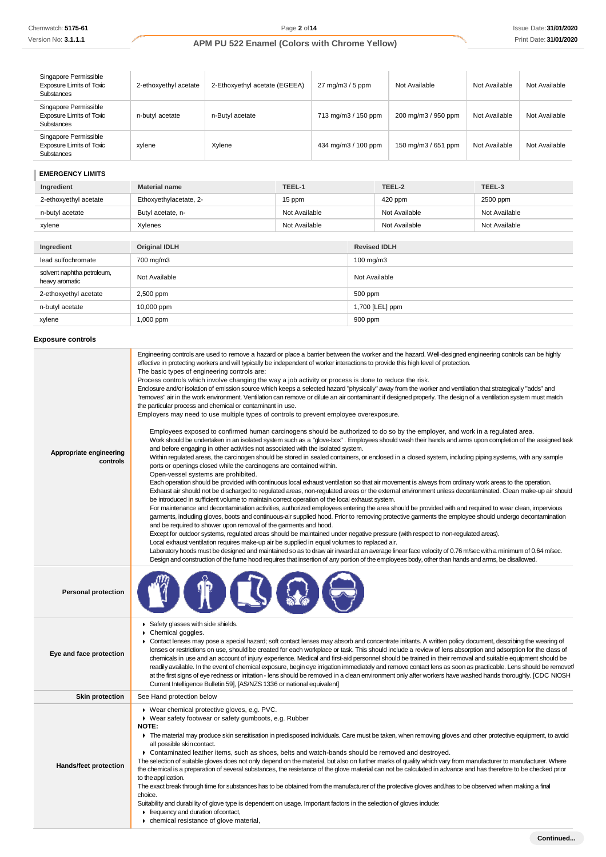Version No: **3.1.1.1**

# **APM PU 522 Enamel (Colors with Chrome Yellow)** Print Date: **31/01/2020**

| Singapore Permissible<br><b>Exposure Limits of Toxic</b><br><b>Substances</b> | 2-ethoxyethyl acetate | 2-Ethoxyethyl acetate (EGEEA) | $27 \text{ mg/m}$ $3/5 \text{ ppm}$ | Not Available       | Not Available | Not Available |
|-------------------------------------------------------------------------------|-----------------------|-------------------------------|-------------------------------------|---------------------|---------------|---------------|
| Singapore Permissible<br><b>Exposure Limits of Toxic</b><br><b>Substances</b> | n-butyl acetate       | n-Butyl acetate               | 713 mg/m3 / 150 ppm                 | 200 mg/m3 / 950 ppm | Not Available | Not Available |
| Singapore Permissible<br><b>Exposure Limits of Toxic</b><br><b>Substances</b> | xylene                | Xylene                        | 434 mg/m3 / 100 ppm                 | 150 mg/m3 / 651 ppm | Not Available | Not Available |

### **EMERGENCY LIMITS**

| Ingredient                                   | <b>Material name</b>   | TEEL-1        |                     | TEEL-2               | TEEL-3        |  |
|----------------------------------------------|------------------------|---------------|---------------------|----------------------|---------------|--|
| 2-ethoxyethyl acetate                        | Ethoxyethylacetate, 2- | 15 ppm        |                     | 420 ppm              | 2500 ppm      |  |
| n-butyl acetate                              | Butyl acetate, n-      | Not Available |                     | Not Available        | Not Available |  |
| xylene                                       | Xylenes                | Not Available |                     | Not Available        | Not Available |  |
|                                              |                        |               |                     |                      |               |  |
| Ingredient                                   | <b>Original IDLH</b>   |               | <b>Revised IDLH</b> |                      |               |  |
| lead sulfochromate                           | 700 mg/m3              |               |                     | $100 \text{ mg/m}$ 3 |               |  |
| solvent naphtha petroleum,<br>heavy aromatic | Not Available          |               |                     | Not Available        |               |  |
| 2-ethoxyethyl acetate                        | 2,500 ppm              |               | 500 ppm             |                      |               |  |
| n-butyl acetate                              | 10,000 ppm             |               | 1,700 [LEL] ppm     |                      |               |  |
| xylene                                       | 1,000 ppm              |               | 900 ppm             |                      |               |  |

### **Exposure controls**

| Appropriate engineering<br>controls | Engineering controls are used to remove a hazard or place a barrier between the worker and the hazard. Well-designed engineering controls can be highly<br>effective in protecting workers and will typically be independent of worker interactions to provide this high level of protection.<br>The basic types of engineering controls are:<br>Process controls which involve changing the way a job activity or process is done to reduce the risk.<br>Enclosure and/or isolation of emission source which keeps a selected hazard "physically" away from the worker and ventilation that strategically "adds" and<br>"removes" air in the work environment. Ventilation can remove or dilute an air contaminant if designed properly. The design of a ventilation system must match<br>the particular process and chemical or contaminant in use.<br>Employers may need to use multiple types of controls to prevent employee overexposure.<br>Employees exposed to confirmed human carcinogens should be authorized to do so by the employer, and work in a regulated area.<br>Work should be undertaken in an isolated system such as a "glove-box". Employees should wash their hands and arms upon completion of the assigned task<br>and before engaging in other activities not associated with the isolated system.<br>Within regulated areas, the carcinogen should be stored in sealed containers, or enclosed in a closed system, including piping systems, with any sample<br>ports or openings closed while the carcinogens are contained within.<br>Open-vessel systems are prohibited.<br>Each operation should be provided with continuous local exhaust ventilation so that air movement is always from ordinary work areas to the operation.<br>Exhaust air should not be discharged to regulated areas, non-regulated areas or the external environment unless decontaminated. Clean make-up air should<br>be introduced in sufficient volume to maintain correct operation of the local exhaust system.<br>For maintenance and decontamination activities, authorized employees entering the area should be provided with and required to wear clean, impervious<br>garments, including gloves, boots and continuous-air supplied hood. Prior to removing protective garments the employee should undergo decontamination<br>and be required to shower upon removal of the garments and hood.<br>Except for outdoor systems, regulated areas should be maintained under negative pressure (with respect to non-regulated areas).<br>Local exhaust ventilation requires make-up air be supplied in equal volumes to replaced air.<br>Laboratory hoods must be designed and maintained so as to draw air inward at an average linear face velocity of 0.76 m/sec with a minimum of 0.64 m/sec.<br>Design and construction of the fume hood requires that insertion of any portion of the employees body, other than hands and arms, be disallowed. |
|-------------------------------------|-------------------------------------------------------------------------------------------------------------------------------------------------------------------------------------------------------------------------------------------------------------------------------------------------------------------------------------------------------------------------------------------------------------------------------------------------------------------------------------------------------------------------------------------------------------------------------------------------------------------------------------------------------------------------------------------------------------------------------------------------------------------------------------------------------------------------------------------------------------------------------------------------------------------------------------------------------------------------------------------------------------------------------------------------------------------------------------------------------------------------------------------------------------------------------------------------------------------------------------------------------------------------------------------------------------------------------------------------------------------------------------------------------------------------------------------------------------------------------------------------------------------------------------------------------------------------------------------------------------------------------------------------------------------------------------------------------------------------------------------------------------------------------------------------------------------------------------------------------------------------------------------------------------------------------------------------------------------------------------------------------------------------------------------------------------------------------------------------------------------------------------------------------------------------------------------------------------------------------------------------------------------------------------------------------------------------------------------------------------------------------------------------------------------------------------------------------------------------------------------------------------------------------------------------------------------------------------------------------------------------------------------------------------------------------------------------------------------------------------------------------------------------------------------------------------------------------------------------------------------------------------------------------------------------------------------------------------------------|
| <b>Personal protection</b>          |                                                                                                                                                                                                                                                                                                                                                                                                                                                                                                                                                                                                                                                                                                                                                                                                                                                                                                                                                                                                                                                                                                                                                                                                                                                                                                                                                                                                                                                                                                                                                                                                                                                                                                                                                                                                                                                                                                                                                                                                                                                                                                                                                                                                                                                                                                                                                                                                                                                                                                                                                                                                                                                                                                                                                                                                                                                                                                                                                                         |
| Eye and face protection             | Safety glasses with side shields.<br>Chemical goggles.<br>► Contact lenses may pose a special hazard; soft contact lenses may absorb and concentrate irritants. A written policy document, describing the wearing of<br>lenses or restrictions on use, should be created for each workplace or task. This should include a review of lens absorption and adsorption for the class of<br>chemicals in use and an account of injury experience. Medical and first-aid personnel should be trained in their removal and suitable equipment should be<br>readily available. In the event of chemical exposure, begin eye irrigation immediately and remove contact lens as soon as practicable. Lens should be removed<br>at the first signs of eye redness or irritation - lens should be removed in a clean environment only after workers have washed hands thoroughly. [CDC NIOSH<br>Current Intelligence Bulletin 59], [AS/NZS 1336 or national equivalent]                                                                                                                                                                                                                                                                                                                                                                                                                                                                                                                                                                                                                                                                                                                                                                                                                                                                                                                                                                                                                                                                                                                                                                                                                                                                                                                                                                                                                                                                                                                                                                                                                                                                                                                                                                                                                                                                                                                                                                                                            |
| <b>Skin protection</b>              | See Hand protection below                                                                                                                                                                                                                                                                                                                                                                                                                                                                                                                                                                                                                                                                                                                                                                                                                                                                                                                                                                                                                                                                                                                                                                                                                                                                                                                                                                                                                                                                                                                                                                                                                                                                                                                                                                                                                                                                                                                                                                                                                                                                                                                                                                                                                                                                                                                                                                                                                                                                                                                                                                                                                                                                                                                                                                                                                                                                                                                                               |
| <b>Hands/feet protection</b>        | ▶ Wear chemical protective gloves, e.g. PVC.<br>▶ Wear safety footwear or safety gumboots, e.g. Rubber<br><b>NOTE:</b><br>The material may produce skin sensitisation in predisposed individuals. Care must be taken, when removing gloves and other protective equipment, to avoid<br>all possible skin contact.<br>▶ Contaminated leather items, such as shoes, belts and watch-bands should be removed and destroyed.<br>The selection of suitable gloves does not only depend on the material, but also on further marks of quality which vary from manufacturer to manufacturer. Where<br>the chemical is a preparation of several substances, the resistance of the glove material can not be calculated in advance and has therefore to be checked prior<br>to the application.<br>The exact break through time for substances has to be obtained from the manufacturer of the protective gloves and has to be observed when making a final<br>choice.<br>Suitability and durability of glove type is dependent on usage. Important factors in the selection of gloves indude:<br>$\triangleright$ frequency and duration of contact,<br>• chemical resistance of glove material,                                                                                                                                                                                                                                                                                                                                                                                                                                                                                                                                                                                                                                                                                                                                                                                                                                                                                                                                                                                                                                                                                                                                                                                                                                                                                                                                                                                                                                                                                                                                                                                                                                                                                                                                                                                |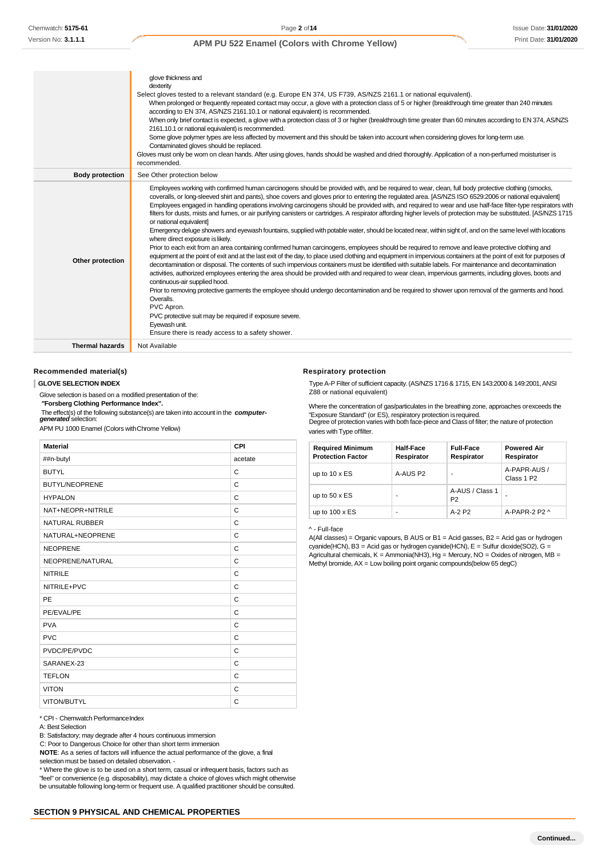|                        | glove thickness and<br>dexterity<br>Select gloves tested to a relevant standard (e.g. Europe EN 374, US F739, AS/NZS 2161.1 or national equivalent).<br>When prolonged or frequently repeated contact may occur, a glove with a protection class of 5 or higher (breakthrough time greater than 240 minutes<br>according to EN 374, AS/NZS 2161.10.1 or national equivalent) is recommended.<br>When only brief contact is expected, a glove with a protection class of 3 or higher (breakthrough time greater than 60 minutes according to EN 374, AS/NZS<br>2161.10.1 or national equivalent) is recommended.<br>Some glove polymer types are less affected by movement and this should be taken into account when considering gloves for long-term use.<br>Contaminated gloves should be replaced.                                                                                                                                                                                                                                                                                                                                                                                                                                                                                                                                                                                                                                                                                                                                                                                                                                                                                                                                                                                                                                                                         |
|------------------------|-------------------------------------------------------------------------------------------------------------------------------------------------------------------------------------------------------------------------------------------------------------------------------------------------------------------------------------------------------------------------------------------------------------------------------------------------------------------------------------------------------------------------------------------------------------------------------------------------------------------------------------------------------------------------------------------------------------------------------------------------------------------------------------------------------------------------------------------------------------------------------------------------------------------------------------------------------------------------------------------------------------------------------------------------------------------------------------------------------------------------------------------------------------------------------------------------------------------------------------------------------------------------------------------------------------------------------------------------------------------------------------------------------------------------------------------------------------------------------------------------------------------------------------------------------------------------------------------------------------------------------------------------------------------------------------------------------------------------------------------------------------------------------------------------------------------------------------------------------------------------------|
|                        | Gloves must only be worn on clean hands. After using gloves, hands should be washed and dried thoroughly. Application of a non-perfumed moisturiser is<br>recommended.                                                                                                                                                                                                                                                                                                                                                                                                                                                                                                                                                                                                                                                                                                                                                                                                                                                                                                                                                                                                                                                                                                                                                                                                                                                                                                                                                                                                                                                                                                                                                                                                                                                                                                        |
| <b>Body protection</b> | See Other protection below                                                                                                                                                                                                                                                                                                                                                                                                                                                                                                                                                                                                                                                                                                                                                                                                                                                                                                                                                                                                                                                                                                                                                                                                                                                                                                                                                                                                                                                                                                                                                                                                                                                                                                                                                                                                                                                    |
| Other protection       | Employees working with confirmed human carcinogens should be provided with, and be required to wear, clean, full body protective clothing (smocks,<br>coveralls, or long-sleeved shirt and pants), shoe covers and gloves prior to entering the regulated area. [AS/NZS ISO 6529:2006 or national equivalent]<br>Employees engaged in handling operations involving carcinogens should be provided with, and required to wear and use half-face filter-type respirators with<br>filters for dusts, mists and fumes, or air purifying canisters or cartridges. A respirator affording higher levels of protection may be substituted. [AS/NZS 1715<br>or national equivalent]<br>Emergency deluge showers and eyewash fountains, supplied with potable water, should be located near, within sight of, and on the same level with locations<br>where direct exposure is likely.<br>Prior to each exit from an area containing confirmed human carcinogens, employees should be required to remove and leave protective clothing and<br>equipment at the point of exit and at the last exit of the day, to place used clothing and equipment in impervious containers at the point of exit for purposes of<br>decontamination or disposal. The contents of such impervious containers must be identified with suitable labels. For maintenance and decontamination<br>activities, authorized employees entering the area should be provided with and required to wear clean, impervious garments, including gloves, boots and<br>continuous-air supplied hood.<br>Prior to removing protective garments the employee should undergo decontamination and be required to shower upon removal of the garments and hood.<br>Overalls.<br>PVC Apron.<br>PVC protective suit may be required if exposure severe.<br>Eyewash unit.<br>Ensure there is ready access to a safety shower. |
| <b>Thermal hazards</b> | Not Available                                                                                                                                                                                                                                                                                                                                                                                                                                                                                                                                                                                                                                                                                                                                                                                                                                                                                                                                                                                                                                                                                                                                                                                                                                                                                                                                                                                                                                                                                                                                                                                                                                                                                                                                                                                                                                                                 |

#### **Recommended material(s) Respiratory Protection Respiratory protection**

Glove selection is based on a modified presentation of the: <br> **"Forsberg Clothing Performance Index".** <br>
Where the concentration of a

The effect(s) of the following substance(s) are taken into account in the **computer-**<br>**generated** selection: APM PU 1000 Enamel (Colors withChrome Yellow) varies with Type offilter.

| <b>Material</b>       | CPI     |
|-----------------------|---------|
| ##n-butyl             | acetate |
| <b>BUTYL</b>          | C       |
| <b>BUTYL/NEOPRENE</b> | C       |
| <b>HYPALON</b>        | C       |
| NAT+NEOPR+NITRILE     | C       |
| <b>NATURAL RUBBER</b> | C       |
| NATURAL+NEOPRENE      | C       |
| <b>NEOPRENE</b>       | C       |
| NEOPRENE/NATURAL      | C       |
| <b>NITRILE</b>        | C       |
| NITRILE+PVC           | C       |
| PE                    | C       |
| PE/EVAL/PE            | C       |
| <b>PVA</b>            | C       |
| <b>PVC</b>            | C       |
| PVDC/PE/PVDC          | C       |
| SARANEX-23            | C       |
| <b>TEFLON</b>         | C       |
| <b>VITON</b>          | C       |
| VITON/BUTYL           | C       |

\* CPI - Chemwatch PerformanceIndex

B: Satisfactory; may degrade after 4 hours continuous immersion

C: Poor to Dangerous Choice for other than short term immersion

**NOTE**: As a series of factors will influence the actual performance of the glove, a final selection must be based on detailed observation. -

\* Where the glove is to be used on a short term, casual or infrequent basis, factors such as "feel" or convenience (e.g. disposability), may dictate a choice of gloves which might otherwise be unsuitable following long-term or frequent use. A qualified practitioner should be consulted.

**GLOVE SELECTION INDEX** Type A-P Filter of sufficient capacity.(AS/NZS 1716 & 1715,EN 143:2000& 149:2001,ANSI

*"***Forsberg Clothing Performance Index".** Where the concentration of gas/particulates in the breathing zone, approaches orexceeds the The enectisy of the individual substance(s) are taken mid account in the **computer-** "Exposure Standard" (or ES), respiratory protection is required.<br>One of protection varies with both face-piece and Class of filter; the n

| <b>Required Minimum</b><br><b>Protection Factor</b> | <b>Half-Face</b><br>Respirator | <b>Full-Face</b><br>Respirator    | <b>Powered Air</b><br>Respirator       |
|-----------------------------------------------------|--------------------------------|-----------------------------------|----------------------------------------|
| up to $10 \times ES$                                | A-AUS P2                       | ۰                                 | A-PAPR-AUS /<br>Class 1 P <sub>2</sub> |
| up to $50 \times ES$                                |                                | A-AUS / Class 1<br>P <sub>2</sub> |                                        |
| up to $100 \times ES$                               | ۰                              | $A-2$ P <sub>2</sub>              | A-PAPR-2 P2 ^                          |

^ - Full-face

A(All classes) = Organic vapours, B AUS or B1 = Acid gasses, B2 = Acid gas or hydrogen cyanide(HCN), B3 = Acid gas or hydrogen cyanide(HCN), E = Sulfur dioxide(SO2), G = Agricultural chemicals, K = Ammonia(NH3), Hg = Mercury, NO = Oxides of nitrogen, MB = Methyl bromide,  $AX =$ Low boiling point organic compounds(below 65 degC)

A: Best Selection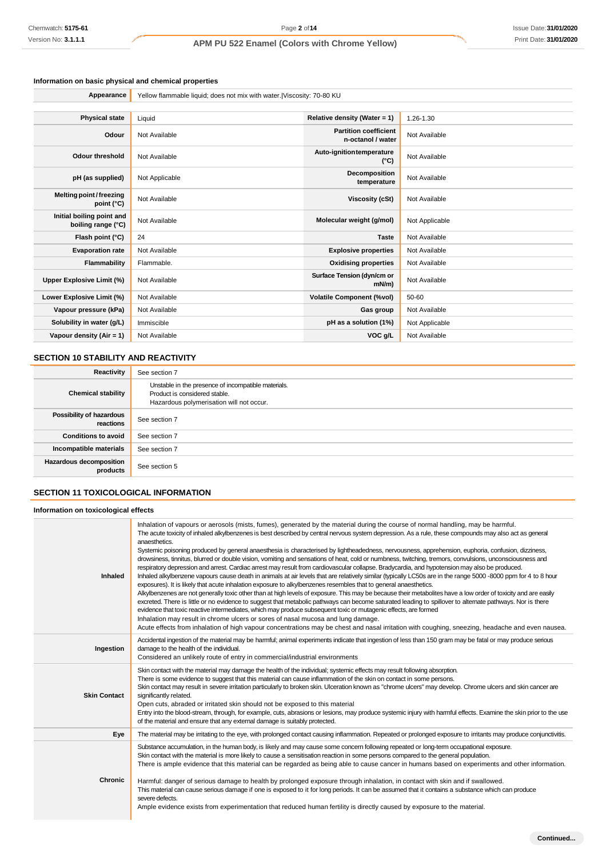### **Information on basic physical and chemical properties**

| Appearance                                      | Yellow flammable liquid; does not mix with water. Viscosity: 70-80 KU |                                                   |                |
|-------------------------------------------------|-----------------------------------------------------------------------|---------------------------------------------------|----------------|
|                                                 |                                                                       |                                                   |                |
| <b>Physical state</b>                           | Liquid                                                                | Relative density (Water = $1$ )                   | 1.26-1.30      |
| Odour                                           | Not Available                                                         | <b>Partition coefficient</b><br>n-octanol / water | Not Available  |
| <b>Odour threshold</b>                          | Not Available                                                         | Auto-ignitiontemperature<br>$(^{\circ}C)$         | Not Available  |
| pH (as supplied)                                | Not Applicable                                                        | Decomposition<br>temperature                      | Not Available  |
| Melting point/freezing<br>point $(^{\circ}C)$   | Not Available                                                         | <b>Viscosity (cSt)</b>                            | Not Available  |
| Initial boiling point and<br>boiling range (°C) | Not Available                                                         | Molecular weight (g/mol)                          | Not Applicable |
| Flash point (°C)                                | 24                                                                    | <b>Taste</b>                                      | Not Available  |
| <b>Evaporation rate</b>                         | Not Available                                                         | <b>Explosive properties</b>                       | Not Available  |
| Flammability                                    | Flammable.                                                            | <b>Oxidising properties</b>                       | Not Available  |
| <b>Upper Explosive Limit (%)</b>                | Not Available                                                         | Surface Tension (dyn/cm or<br>mN/m                | Not Available  |
| Lower Explosive Limit (%)                       | Not Available                                                         | <b>Volatile Component (%vol)</b>                  | 50-60          |
| Vapour pressure (kPa)                           | Not Available                                                         | Gas group                                         | Not Available  |
| Solubility in water (g/L)                       | Immiscible                                                            | pH as a solution (1%)                             | Not Applicable |
| Vapour density (Air = 1)                        | Not Available                                                         | VOC g/L                                           | Not Available  |

### **SECTION 10 STABILITY AND REACTIVITY**

| Reactivity                            | See section 7                                                                                                                    |
|---------------------------------------|----------------------------------------------------------------------------------------------------------------------------------|
| <b>Chemical stability</b>             | Unstable in the presence of incompatible materials.<br>Product is considered stable.<br>Hazardous polymerisation will not occur. |
| Possibility of hazardous<br>reactions | See section 7                                                                                                                    |
| <b>Conditions to avoid</b>            | See section 7                                                                                                                    |
| Incompatible materials                | See section 7                                                                                                                    |
| Hazardous decomposition<br>products   | See section 5                                                                                                                    |

### **SECTION 11 TOXICOLOGICAL INFORMATION**

#### **Information on toxicological effects**

| Inhaled             | Inhalation of vapours or aerosols (mists, fumes), generated by the material during the course of normal handling, may be harmful.<br>The acute toxicity of inhaled alkylbenzenes is best described by central nervous system depression. As a rule, these compounds may also act as general<br>anaesthetics.<br>Systemic poisoning produced by general anaesthesia is characterised by lightheadedness, nervousness, apprehension, euphoria, confusion, dizziness,<br>drowsiness, tinnitus, blurred or double vision, vomiting and sensations of heat, cold or numbness, twitching, tremors, convulsions, unconsciousness and<br>respiratory depression and arrest. Cardiac arrest may result from cardiovascular collapse. Bradycardia, and hypotension may also be produced.<br>Inhaled alkylbenzene vapours cause death in animals at air levels that are relatively similar (typically LC50s are in the range 5000 -8000 ppm for 4 to 8 hour<br>exposures). It is likely that acute inhalation exposure to alkylbenzenes resembles that to general anaesthetics.<br>Alkylbenzenes are not generally toxic other than at high levels of exposure. This may be because their metabolites have a low order of toxicity and are easily<br>excreted. There is little or no evidence to suggest that metabolic pathways can become saturated leading to spillover to alternate pathways. Nor is there<br>evidence that toxic reactive intermediates, which may produce subsequent toxic or mutagenic effects, are formed<br>Inhalation may result in chrome ulcers or sores of nasal mucosa and lung damage.<br>Acute effects from inhalation of high vapour concentrations may be chest and nasal irritation with coughing, sneezing, headache and even nausea. |
|---------------------|----------------------------------------------------------------------------------------------------------------------------------------------------------------------------------------------------------------------------------------------------------------------------------------------------------------------------------------------------------------------------------------------------------------------------------------------------------------------------------------------------------------------------------------------------------------------------------------------------------------------------------------------------------------------------------------------------------------------------------------------------------------------------------------------------------------------------------------------------------------------------------------------------------------------------------------------------------------------------------------------------------------------------------------------------------------------------------------------------------------------------------------------------------------------------------------------------------------------------------------------------------------------------------------------------------------------------------------------------------------------------------------------------------------------------------------------------------------------------------------------------------------------------------------------------------------------------------------------------------------------------------------------------------------------------------------------------------------------------------------------------------------|
| Ingestion           | Accidental ingestion of the material may be harmful; animal experiments indicate that ingestion of less than 150 gram may be fatal or may produce serious<br>damage to the health of the individual.<br>Considered an unlikely route of entry in commercial/industrial environments                                                                                                                                                                                                                                                                                                                                                                                                                                                                                                                                                                                                                                                                                                                                                                                                                                                                                                                                                                                                                                                                                                                                                                                                                                                                                                                                                                                                                                                                            |
| <b>Skin Contact</b> | Skin contact with the material may damage the health of the individual; systemic effects may result following absorption.<br>There is some evidence to suggest that this material can cause inflammation of the skin on contact in some persons.<br>Skin contact may result in severe irritation particularly to broken skin. Ulceration known as "chrome ulcers" may develop. Chrome ulcers and skin cancer are<br>significantly related.<br>Open cuts, abraded or irritated skin should not be exposed to this material<br>Entry into the blood-stream, through, for example, cuts, abrasions or lesions, may produce systemic injury with harmful effects. Examine the skin prior to the use<br>of the material and ensure that any external damage is suitably protected.                                                                                                                                                                                                                                                                                                                                                                                                                                                                                                                                                                                                                                                                                                                                                                                                                                                                                                                                                                                  |
| Eye                 | The material may be irritating to the eye, with prolonged contact causing inflammation. Repeated or prolonged exposure to irritants may produce conjunctivitis.                                                                                                                                                                                                                                                                                                                                                                                                                                                                                                                                                                                                                                                                                                                                                                                                                                                                                                                                                                                                                                                                                                                                                                                                                                                                                                                                                                                                                                                                                                                                                                                                |
| Chronic             | Substance accumulation, in the human body, is likely and may cause some concern following repeated or long-term occupational exposure.<br>Skin contact with the material is more likely to cause a sensitisation reaction in some persons compared to the general population.<br>There is ample evidence that this material can be regarded as being able to cause cancer in humans based on experiments and other information.<br>Harmful: danger of serious damage to health by prolonged exposure through inhalation, in contact with skin and if swallowed.<br>This material can cause serious damage if one is exposed to it for long periods. It can be assumed that it contains a substance which can produce<br>severe defects.<br>Ample evidence exists from experimentation that reduced human fertility is directly caused by exposure to the material.                                                                                                                                                                                                                                                                                                                                                                                                                                                                                                                                                                                                                                                                                                                                                                                                                                                                                             |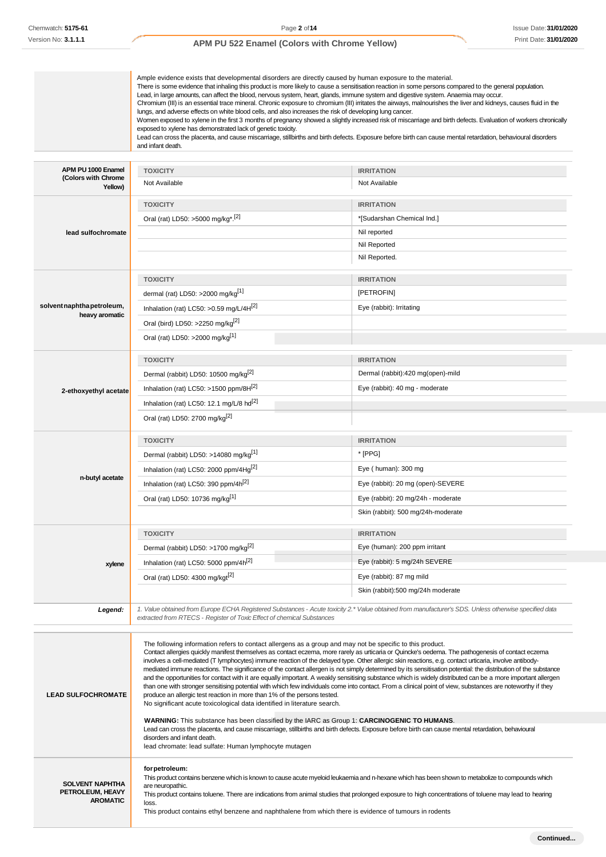|                                                               | Ample evidence exists that developmental disorders are directly caused by human exposure to the material.<br>There is some evidence that inhaling this product is more likely to cause a sensitisation reaction in some persons compared to the general population.<br>Lead, in large amounts, can affect the blood, nervous system, heart, glands, immune system and digestive system. Anaemia may occur.<br>Chromium (III) is an essential trace mineral. Chronic exposure to chromium (III) irritates the airways, malnourishes the liver and kidneys, causes fluid in the<br>lungs, and adverse effects on white blood cells, and also increases the risk of developing lung cancer.<br>exposed to xylene has demonstrated lack of genetic toxicity.<br>Lead can cross the placenta, and cause miscarriage, stillbirths and birth defects. Exposure before birth can cause mental retardation, behavioural disorders<br>and infant death.                                                                                                                                                                                                                                                                                                                                                                                          | Women exposed to xylene in the first 3 months of pregnancy showed a slightly increased risk of miscarriage and birth defects. Evaluation of workers chronically |
|---------------------------------------------------------------|----------------------------------------------------------------------------------------------------------------------------------------------------------------------------------------------------------------------------------------------------------------------------------------------------------------------------------------------------------------------------------------------------------------------------------------------------------------------------------------------------------------------------------------------------------------------------------------------------------------------------------------------------------------------------------------------------------------------------------------------------------------------------------------------------------------------------------------------------------------------------------------------------------------------------------------------------------------------------------------------------------------------------------------------------------------------------------------------------------------------------------------------------------------------------------------------------------------------------------------------------------------------------------------------------------------------------------------|-----------------------------------------------------------------------------------------------------------------------------------------------------------------|
|                                                               |                                                                                                                                                                                                                                                                                                                                                                                                                                                                                                                                                                                                                                                                                                                                                                                                                                                                                                                                                                                                                                                                                                                                                                                                                                                                                                                                        |                                                                                                                                                                 |
| APM PU 1000 Enamel<br>(Colors with Chrome                     | <b>TOXICITY</b>                                                                                                                                                                                                                                                                                                                                                                                                                                                                                                                                                                                                                                                                                                                                                                                                                                                                                                                                                                                                                                                                                                                                                                                                                                                                                                                        | <b>IRRITATION</b>                                                                                                                                               |
| Yellow)                                                       | Not Available                                                                                                                                                                                                                                                                                                                                                                                                                                                                                                                                                                                                                                                                                                                                                                                                                                                                                                                                                                                                                                                                                                                                                                                                                                                                                                                          | Not Available                                                                                                                                                   |
|                                                               | <b>TOXICITY</b>                                                                                                                                                                                                                                                                                                                                                                                                                                                                                                                                                                                                                                                                                                                                                                                                                                                                                                                                                                                                                                                                                                                                                                                                                                                                                                                        | <b>IRRITATION</b>                                                                                                                                               |
|                                                               | Oral (rat) LD50: >5000 mg/kg <sup>*</sup> .[2]                                                                                                                                                                                                                                                                                                                                                                                                                                                                                                                                                                                                                                                                                                                                                                                                                                                                                                                                                                                                                                                                                                                                                                                                                                                                                         | *[Sudarshan Chemical Ind.]                                                                                                                                      |
| lead sulfochromate                                            |                                                                                                                                                                                                                                                                                                                                                                                                                                                                                                                                                                                                                                                                                                                                                                                                                                                                                                                                                                                                                                                                                                                                                                                                                                                                                                                                        | Nil reported                                                                                                                                                    |
|                                                               |                                                                                                                                                                                                                                                                                                                                                                                                                                                                                                                                                                                                                                                                                                                                                                                                                                                                                                                                                                                                                                                                                                                                                                                                                                                                                                                                        | Nil Reported                                                                                                                                                    |
|                                                               |                                                                                                                                                                                                                                                                                                                                                                                                                                                                                                                                                                                                                                                                                                                                                                                                                                                                                                                                                                                                                                                                                                                                                                                                                                                                                                                                        | Nil Reported.                                                                                                                                                   |
|                                                               | <b>TOXICITY</b>                                                                                                                                                                                                                                                                                                                                                                                                                                                                                                                                                                                                                                                                                                                                                                                                                                                                                                                                                                                                                                                                                                                                                                                                                                                                                                                        |                                                                                                                                                                 |
|                                                               | dermal (rat) LD50: >2000 mg/kg <sup>[1]</sup>                                                                                                                                                                                                                                                                                                                                                                                                                                                                                                                                                                                                                                                                                                                                                                                                                                                                                                                                                                                                                                                                                                                                                                                                                                                                                          | <b>IRRITATION</b><br>[PETROFIN]                                                                                                                                 |
| solvent naphtha petroleum,                                    |                                                                                                                                                                                                                                                                                                                                                                                                                                                                                                                                                                                                                                                                                                                                                                                                                                                                                                                                                                                                                                                                                                                                                                                                                                                                                                                                        |                                                                                                                                                                 |
| heavy aromatic                                                | Inhalation (rat) LC50: > 0.59 mg/L/4 $H[2]$                                                                                                                                                                                                                                                                                                                                                                                                                                                                                                                                                                                                                                                                                                                                                                                                                                                                                                                                                                                                                                                                                                                                                                                                                                                                                            | Eye (rabbit): Irritating                                                                                                                                        |
|                                                               | Oral (bird) LD50: >2250 mg/kg <sup>[2]</sup>                                                                                                                                                                                                                                                                                                                                                                                                                                                                                                                                                                                                                                                                                                                                                                                                                                                                                                                                                                                                                                                                                                                                                                                                                                                                                           |                                                                                                                                                                 |
|                                                               | Oral (rat) LD50: >2000 mg/kg <sup>[1]</sup>                                                                                                                                                                                                                                                                                                                                                                                                                                                                                                                                                                                                                                                                                                                                                                                                                                                                                                                                                                                                                                                                                                                                                                                                                                                                                            |                                                                                                                                                                 |
|                                                               | <b>TOXICITY</b>                                                                                                                                                                                                                                                                                                                                                                                                                                                                                                                                                                                                                                                                                                                                                                                                                                                                                                                                                                                                                                                                                                                                                                                                                                                                                                                        | <b>IRRITATION</b>                                                                                                                                               |
|                                                               | Dermal (rabbit) LD50: 10500 mg/kg <sup>[2]</sup>                                                                                                                                                                                                                                                                                                                                                                                                                                                                                                                                                                                                                                                                                                                                                                                                                                                                                                                                                                                                                                                                                                                                                                                                                                                                                       | Dermal (rabbit):420 mg(open)-mild                                                                                                                               |
| 2-ethoxyethyl acetate                                         | Inhalation (rat) LC50: >1500 ppm/8 $H[2]$                                                                                                                                                                                                                                                                                                                                                                                                                                                                                                                                                                                                                                                                                                                                                                                                                                                                                                                                                                                                                                                                                                                                                                                                                                                                                              | Eye (rabbit): 40 mg - moderate                                                                                                                                  |
|                                                               | Inhalation (rat) LC50: 12.1 mg/L/8 hd <sup>[2]</sup>                                                                                                                                                                                                                                                                                                                                                                                                                                                                                                                                                                                                                                                                                                                                                                                                                                                                                                                                                                                                                                                                                                                                                                                                                                                                                   |                                                                                                                                                                 |
|                                                               | Oral (rat) LD50: 2700 mg/kg <sup>[2]</sup>                                                                                                                                                                                                                                                                                                                                                                                                                                                                                                                                                                                                                                                                                                                                                                                                                                                                                                                                                                                                                                                                                                                                                                                                                                                                                             |                                                                                                                                                                 |
|                                                               | <b>TOXICITY</b>                                                                                                                                                                                                                                                                                                                                                                                                                                                                                                                                                                                                                                                                                                                                                                                                                                                                                                                                                                                                                                                                                                                                                                                                                                                                                                                        | <b>IRRITATION</b>                                                                                                                                               |
|                                                               | Dermal (rabbit) LD50: >14080 mg/kg <sup>[1]</sup>                                                                                                                                                                                                                                                                                                                                                                                                                                                                                                                                                                                                                                                                                                                                                                                                                                                                                                                                                                                                                                                                                                                                                                                                                                                                                      | * [PPG]                                                                                                                                                         |
|                                                               | Inhalation (rat) LC50: 2000 ppm/4Hg <sup>[2]</sup>                                                                                                                                                                                                                                                                                                                                                                                                                                                                                                                                                                                                                                                                                                                                                                                                                                                                                                                                                                                                                                                                                                                                                                                                                                                                                     | Eye (human): 300 mg                                                                                                                                             |
| n-butyl acetate                                               | Inhalation (rat) LC50: 390 ppm/4h <sup>[2]</sup>                                                                                                                                                                                                                                                                                                                                                                                                                                                                                                                                                                                                                                                                                                                                                                                                                                                                                                                                                                                                                                                                                                                                                                                                                                                                                       | Eye (rabbit): 20 mg (open)-SEVERE                                                                                                                               |
|                                                               | Oral (rat) LD50: 10736 mg/kg <sup>[1]</sup>                                                                                                                                                                                                                                                                                                                                                                                                                                                                                                                                                                                                                                                                                                                                                                                                                                                                                                                                                                                                                                                                                                                                                                                                                                                                                            | Eye (rabbit): 20 mg/24h - moderate                                                                                                                              |
|                                                               |                                                                                                                                                                                                                                                                                                                                                                                                                                                                                                                                                                                                                                                                                                                                                                                                                                                                                                                                                                                                                                                                                                                                                                                                                                                                                                                                        | Skin (rabbit): 500 mg/24h-moderate                                                                                                                              |
|                                                               | <b>TOXICITY</b>                                                                                                                                                                                                                                                                                                                                                                                                                                                                                                                                                                                                                                                                                                                                                                                                                                                                                                                                                                                                                                                                                                                                                                                                                                                                                                                        | <b>IRRITATION</b>                                                                                                                                               |
|                                                               | Dermal (rabbit) LD50: >1700 mg/kg <sup>[2]</sup>                                                                                                                                                                                                                                                                                                                                                                                                                                                                                                                                                                                                                                                                                                                                                                                                                                                                                                                                                                                                                                                                                                                                                                                                                                                                                       | Eye (human): 200 ppm irritant                                                                                                                                   |
|                                                               |                                                                                                                                                                                                                                                                                                                                                                                                                                                                                                                                                                                                                                                                                                                                                                                                                                                                                                                                                                                                                                                                                                                                                                                                                                                                                                                                        | Eye (rabbit): 5 mg/24h SEVERE                                                                                                                                   |
| xylene                                                        | Inhalation (rat) LC50: 5000 ppm/4h <sup>[2]</sup>                                                                                                                                                                                                                                                                                                                                                                                                                                                                                                                                                                                                                                                                                                                                                                                                                                                                                                                                                                                                                                                                                                                                                                                                                                                                                      |                                                                                                                                                                 |
|                                                               | Oral (rat) LD50: 4300 mg/kgt[2]                                                                                                                                                                                                                                                                                                                                                                                                                                                                                                                                                                                                                                                                                                                                                                                                                                                                                                                                                                                                                                                                                                                                                                                                                                                                                                        | Eye (rabbit): 87 mg mild<br>Skin (rabbit):500 mg/24h moderate                                                                                                   |
| Legend:                                                       | 1. Value obtained from Europe ECHA Registered Substances - Acute toxicity 2.* Value obtained from manufacturer's SDS. Unless otherwise specified data<br>extracted from RTECS - Register of Toxic Effect of chemical Substances                                                                                                                                                                                                                                                                                                                                                                                                                                                                                                                                                                                                                                                                                                                                                                                                                                                                                                                                                                                                                                                                                                        |                                                                                                                                                                 |
| <b>LEAD SULFOCHROMATE</b>                                     | The following information refers to contact allergens as a group and may not be specific to this product.<br>Contact allergies quickly manifest themselves as contact eczema, more rarely as urticaria or Quincke's oedema. The pathogenesis of contact eczema<br>involves a cell-mediated (T lymphocytes) immune reaction of the delayed type. Other allergic skin reactions, e.g. contact urticaria, involve antibody-<br>mediated immune reactions. The significance of the contact allergen is not simply determined by its sensitisation potential: the distribution of the substance<br>and the opportunities for contact with it are equally important. A weakly sensitising substance which is widely distributed can be a more important allergen<br>than one with stronger sensitising potential with which few individuals come into contact. From a clinical point of view, substances are noteworthy if they<br>produce an allergic test reaction in more than 1% of the persons tested.<br>No significant acute toxicological data identified in literature search.<br>WARNING: This substance has been classified by the IARC as Group 1: CARCINOGENIC TO HUMANS.<br>Lead can cross the placenta, and cause miscarriage, stillbirths and birth defects. Exposure before birth can cause mental retardation, behavioural |                                                                                                                                                                 |
|                                                               | disorders and infant death.<br>lead chromate: lead sulfate: Human lymphocyte mutagen                                                                                                                                                                                                                                                                                                                                                                                                                                                                                                                                                                                                                                                                                                                                                                                                                                                                                                                                                                                                                                                                                                                                                                                                                                                   |                                                                                                                                                                 |
| <b>SOLVENT NAPHTHA</b><br>PETROLEUM, HEAVY<br><b>AROMATIC</b> | for petroleum:<br>This product contains benzene which is known to cause acute myeloid leukaemia and n-hexane which has been shown to metabolize to compounds which<br>are neuropathic.<br>This product contains toluene. There are indications from animal studies that prolonged exposure to high concentrations of toluene may lead to hearing<br>loss.<br>This product contains ethyl benzene and naphthalene from which there is evidence of tumours in rodents                                                                                                                                                                                                                                                                                                                                                                                                                                                                                                                                                                                                                                                                                                                                                                                                                                                                    |                                                                                                                                                                 |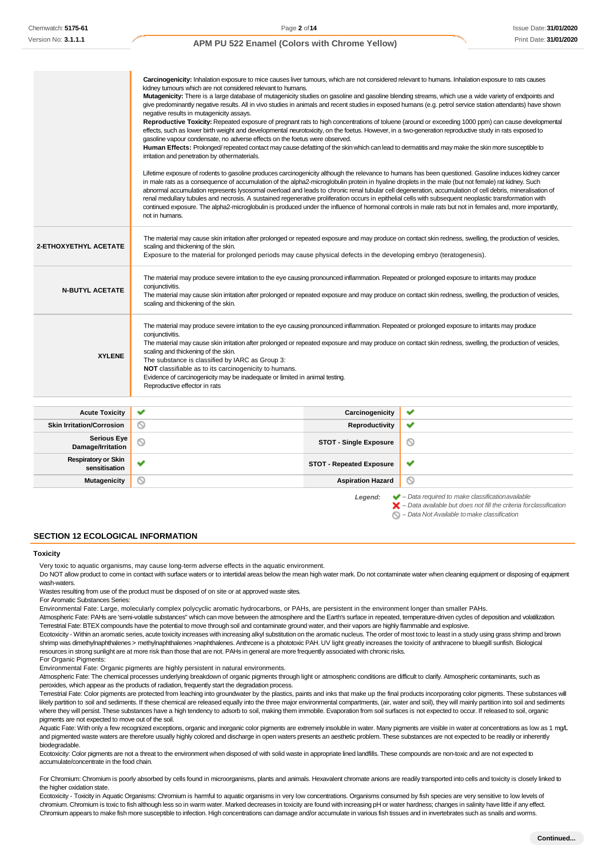|                        | Carcinogenicity: Inhalation exposure to mice causes liver tumours, which are not considered relevant to humans. Inhalation exposure to rats causes<br>kidney tumours which are not considered relevant to humans.<br>Mutagenicity: There is a large database of mutagenicity studies on gasoline and gasoline blending streams, which use a wide variety of endpoints and<br>negative results in mutagenicity assays.<br>effects, such as lower birth weight and developmental neurotoxicity, on the foetus. However, in a two-generation reproductive study in rats exposed to<br>gasoline vapour condensate, no adverse effects on the foetus were observed.<br>Human Effects: Prolonged/repeated contact may cause defatting of the skin which can lead to dermatitis and may make the skin more susceptible to<br>irritation and penetration by othermaterials.<br>in male rats as a consequence of accumulation of the alpha2-microglobulin protein in hyaline droplets in the male (but not female) rat kidney. Such<br>abnormal accumulation represents lysosomal overload and leads to chronic renal tubular cell degeneration, accumulation of cell debris, mineralisation of<br>renal medullary tubules and necrosis. A sustained regenerative proliferation occurs in epithelial cells with subsequent neoplastic transformation with<br>continued exposure. The alpha2-microglobulin is produced under the influence of hormonal controls in male rats but not in females and, more importantly,<br>not in humans. |                 | give predominantly negative results. All in vivo studies in animals and recent studies in exposed humans (e.g. petrol service station attendants) have shown<br>Reproductive Toxicity: Repeated exposure of pregnant rats to high concentrations of toluene (around or exceeding 1000 ppm) can cause developmental<br>Lifetime exposure of rodents to gasoline produces carcinogenicity although the relevance to humans has been questioned. Gasoline induces kidney cancer |
|------------------------|--------------------------------------------------------------------------------------------------------------------------------------------------------------------------------------------------------------------------------------------------------------------------------------------------------------------------------------------------------------------------------------------------------------------------------------------------------------------------------------------------------------------------------------------------------------------------------------------------------------------------------------------------------------------------------------------------------------------------------------------------------------------------------------------------------------------------------------------------------------------------------------------------------------------------------------------------------------------------------------------------------------------------------------------------------------------------------------------------------------------------------------------------------------------------------------------------------------------------------------------------------------------------------------------------------------------------------------------------------------------------------------------------------------------------------------------------------------------------------------------------------------------------------|-----------------|------------------------------------------------------------------------------------------------------------------------------------------------------------------------------------------------------------------------------------------------------------------------------------------------------------------------------------------------------------------------------------------------------------------------------------------------------------------------------|
| 2-ETHOXYETHYL ACETATE  | scaling and thickening of the skin.<br>Exposure to the material for prolonged periods may cause physical defects in the developing embryo (teratogenesis).                                                                                                                                                                                                                                                                                                                                                                                                                                                                                                                                                                                                                                                                                                                                                                                                                                                                                                                                                                                                                                                                                                                                                                                                                                                                                                                                                                     |                 | The material may cause skin irritation after prolonged or repeated exposure and may produce on contact skin redness, swelling, the production of vesides,                                                                                                                                                                                                                                                                                                                    |
| <b>N-BUTYL ACETATE</b> | The material may produce severe irritation to the eye causing pronounced inflammation. Repeated or prolonged exposure to irritants may produce<br>conjunctivitis.<br>scaling and thickening of the skin.                                                                                                                                                                                                                                                                                                                                                                                                                                                                                                                                                                                                                                                                                                                                                                                                                                                                                                                                                                                                                                                                                                                                                                                                                                                                                                                       |                 | The material may cause skin irritation after prolonged or repeated exposure and may produce on contact skin redness, swelling, the production of vesides,                                                                                                                                                                                                                                                                                                                    |
| <b>XYLENE</b>          | The material may produce severe irritation to the eye causing pronounced inflammation. Repeated or prolonged exposure to irritants may produce<br>conjunctivitis.<br>The material may cause skin irritation after prolonged or repeated exposure and may produce on contact skin redness, swelling, the production of vesides,<br>scaling and thickening of the skin.<br>The substance is classified by IARC as Group 3:<br>NOT classifiable as to its carcinogenicity to humans.<br>Evidence of carcinogenicity may be inadequate or limited in animal testing.<br>Reproductive effector in rats                                                                                                                                                                                                                                                                                                                                                                                                                                                                                                                                                                                                                                                                                                                                                                                                                                                                                                                              |                 |                                                                                                                                                                                                                                                                                                                                                                                                                                                                              |
| <b>Acute Toxicity</b>  |                                                                                                                                                                                                                                                                                                                                                                                                                                                                                                                                                                                                                                                                                                                                                                                                                                                                                                                                                                                                                                                                                                                                                                                                                                                                                                                                                                                                                                                                                                                                | Carcinogenicity | ✔                                                                                                                                                                                                                                                                                                                                                                                                                                                                            |

| <b>Acute Toxicity</b>                       | $\checkmark$ | Carcinogenicity                 | ✔                                                                                                                                                                  |
|---------------------------------------------|--------------|---------------------------------|--------------------------------------------------------------------------------------------------------------------------------------------------------------------|
| <b>Skin Irritation/Corrosion</b>            | $\circ$      | Reproductivity                  | ✔                                                                                                                                                                  |
| Serious Eye<br>Damage/Irritation            | N            | <b>STOT - Single Exposure</b>   | O                                                                                                                                                                  |
| <b>Respiratory or Skin</b><br>sensitisation | $\checkmark$ | <b>STOT - Repeated Exposure</b> | ✔                                                                                                                                                                  |
| <b>Mutagenicity</b>                         | D            | <b>Aspiration Hazard</b>        | O                                                                                                                                                                  |
|                                             |              | Legend:                         | $\blacktriangleright$ - Data required to make classification available<br>$\blacktriangleright$ - Data available but does not fill the criteria for classification |

**SECTION 12 ECOLOGICAL INFORMATION**

#### **Toxicity**

Very toxic to aquatic organisms, may cause long-term adverse effects in the aquatic environment.

Do NOT allow product to come in contact with surface waters or to intertidal areas below the mean high water mark. Do not contaminate water when cleaning equipment or disposing of equipment wash-waters.

Wastes resulting from use of the product must be disposed of on site or at approved waste sites.

For Aromatic Substances Series:

Environmental Fate: Large, molecularly complex polycyclic aromatic hydrocarbons, or PAHs, are persistent in the environment longer than smaller PAHs.

Atmospheric Fate: PAHs are 'semi-volatile substances" which can move between the atmosphere and the Earth's surface in repeated, temperature-driven cycles of deposition and volatilization. Terrestrial Fate: BTEX compounds have the potential to move through soil and contaminate ground water, and their vapors are highly flammable and explosive.

Ecotoxicity - Within an aromatic series, acute toxicity increases with increasing alkyl substitution on the aromatic nucleus. The order of most toxic to least in a study using grass shrimp and brown shrimp was dimethylnaphthalenes > methylnaphthalenes >naphthalenes. Anthrcene is a phototoxic PAH. UV light greatly increases the toxicity of anthracene to bluegill sunfish. Biological resources in strong sunlight are at more risk than those that are not. PAHs in general are more frequently associated with chronic risks.

For Organic Pigments:

Environmental Fate: Organic pigments are highly persistent in natural environments.

Atmospheric Fate: The chemical processes underlying breakdown of organic pigments through light or atmospheric conditions are difficult to clarify. Atmospheric contaminants, such as peroxides, which appear as the products of radiation, frequently start the degradation process.

Terrestrial Fate: Color pigments are protected from leaching into groundwater by the plastics, paints and inks that make up the final products incorporating color pigments. These substances will likely partition to soil and sediments. If these chemical are released equally into the three major environmental compartments, (air, water and soil), they will mainly partition into soil and sediments where they will persist. These substances have a high tendency to adsorb to soil, making them immobile. Evaporation from soil surfaces is not expected to occur. If released to soil, organic pigments are not expected to move out of the soil.

Aquatic Fate: With only a few recognized exceptions, organic and inorganic color pigments are extremely insoluble in water. Many pigments are visible in water at concentrations as low as 1 mg/L and pigmented waste waters are therefore usually highly colored and discharge in open waters presents an aesthetic problem. These substances are not expected to be readily or inherently biodegradable.

Ecotoxicity: Color pigments are not a threat to the environment when disposed of with solid waste in appropriate lined landfills. These compounds are non-toxic and are not expected to accumulate/concentrate in the food chain.

For Chromium: Chromium is poorly absorbed by cells found in microorganisms, plants and animals. Hexavalent chromate anions are readily transported into cells and toxicity is closely linked to the higher oxidation state.

Ecotoxicity - Toxicity in Aquatic Organisms: Chromium is harmful to aquatic organisms in very low concentrations. Organisms consumed by fish species are very sensitive to low levels of chromium. Chromium is toxic to fish although less so in warm water. Marked decreases in toxicity are found with increasing pH or water hardness; changes in salinity have little if any effect. Chromium appears to make fish more susceptible to infection. High concentrations can damage and/or accumulate in various fish tissues and in invertebrates such as snails and worms.

*– Data Not Available tomake classification*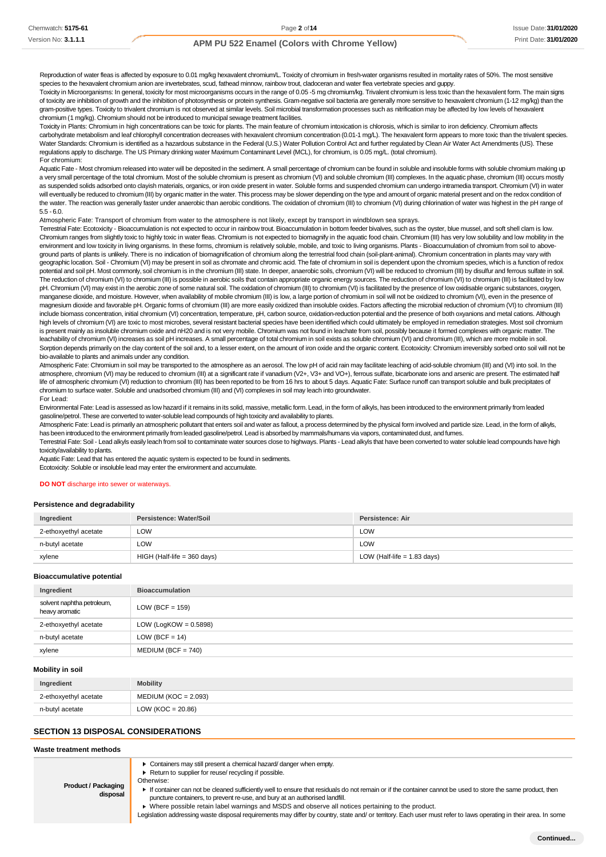Reproduction of water fleas is affected by exposure to 0.01 mg/kg hexavalent chromium/L. Toxicity of chromium in fresh-water organisms resulted in mortality rates of 50%. The most sensitive species to the hexavalent chromium anion are invertebrates, scud, fathead minnow, rainbow trout, cladoceran and water flea vertebrate species and guppy.

Toxicity in Microorganisms: In general, toxicity for most microorganisms occurs in the range of 0.05 -5 mg chromium/kg. Trivalent chromium is less toxic than the hexavalent form. The main signs of toxicity are inhibition of growth and the inhibition of photosynthesis or protein synthesis. Gram-negative soil bacteria are generally more sensitive to hexavalent chromium (1-12 mg/kg) than the gram-positive types. Toxicity to trivalent chromium is not observed at similar levels. Soil microbial transformation processes such as nitrification may be affected by low levels of hexavalent chromium (1 mg/kg). Chromium should not be introduced to municipal sewage treatment facilities.

Toxicity in Plants: Chromium in high concentrations can be toxic for plants. The main feature of chromium intoxication is chlorosis, which is similar to iron deficiency. Chromium affects carbohydrate metabolism and leaf chlorophyll concentration decreases with hexavalent chromium concentration (0.01-1 mg/L). The hexavalent form appears to more toxic than the trivalent species. Water Standards: Chromium is identified as a hazardous substance in the Federal (U.S.) Water Pollution Control Act and further regulated by Clean Air Water Act Amendments (US). These regulations apply to discharge. The US Primary drinking water Maximum Contaminant Level (MCL), for chromium, is 0.05 mg/L. (total chromium). For chromium:

Aquatic Fate - Most chromium released into water will be deposited in the sediment. A small percentage of chromium can be found in soluble and insoluble forms with soluble chromium making up a very small percentage of the total chromium. Most of the soluble chromium is present as chromium (VI) and soluble chromium (III) complexes. In the aguatic phase, chromium (III) occurs mostly as suspended solids adsorbed onto clayish materials, organics, or iron oxide present in water. Soluble forms and suspended chromium can undergo intramedia transport. Chromium (VI) in water will eventually be reduced to chromium (III) by organic matter in the water. This process may be slower depending on the type and amount of organic material present and on the redox condition of the water. The reaction was generally faster under anaerobic than aerobic conditions. The oxidation of chromium (III) to chromium (VI) during chlorination of water was highest in the pH range of 5.5 - 6.0.

Atmospheric Fate: Transport of chromium from water to the atmosphere is not likely, except by transport in windblown sea sprays.

Terrestrial Fate: Ecotoxicity - Bioaccumulation is not expected to occur in rainbow trout. Bioaccumulation in bottom feeder bivalves, such as the oyster, blue mussel, and soft shell clam is low. Chromium ranges from slightly toxic to highly toxic in water fleas. Chromium is not expected to biomagnify in the aquatic food chain. Chromium (III) has very low solubility and low mobility in the environment and low toxicity in living organisms. In these forms, chromium is relatively soluble, mobile, and toxic to living organisms. Plants - Bioaccumulation of chromium from soil to aboveground parts of plants is unlikely. There is no indication of biomagnification of chromium along the terrestrial food chain (soil-plant-animal). Chromium concentration in plants may vary with geographic location. Soil - Chromium (VI) may be present in soil as chromate and chromic acid. The fate of chromium in soil is dependent upon the chromium species, which is a function of redox potential and soil pH. Most commonly, soil chromium is in the chromium (III) state. In deeper, anaerobic soils, chromium (VI) will be reduced to chromium (III) by disulfur and ferrous sulfate in soil. The reduction of chromium (VI) to chromium (III) is possible in aerobic soils that contain appropriate organic energy sources. The reduction of chromium (VI) to chromium (III) is facilitated by low pH. Chromium (VI) may exist in the aerobic zone of some natural soil. The oxidation of chromium (III) to chromium (VI) is facilitated by the presence of low oxidisable organic substances, oxygen, manganese dioxide, and moisture. However, when availability of mobile chromium (III) is low, a large portion of chromium in soil will not be oxidized to chromium (VI), even in the presence of magnesium dioxide and favorable pH. Organic forms of chromium (III) are more easily oxidized than insoluble oxides. Factors affecting the microbial reduction of chromium (VI) to chromium (III) include biomass concentration, initial chromium (VI) concentration, temperature, pH, carbon source, oxidation-reduction potential and the presence of both oxyanions and metal cations. Although high levels of chromium (VI) are toxic to most microbes, several resistant bacterial species have been identified which could ultimately be employed in remediation strategies. Most soil chromium is present mainly as insoluble chromium oxide and nH20 and is not very mobile. Chromium was not found in leachate from soil, possibly because it formed complexes with organic matter. The leachability of chromium (VI) increases as soil pH increases. A small percentage of total chromium in soil exists as soluble chromium (VI) and chromium (III), which are more mobile in soil. Sorption depends primarily on the clay content of the soil and, to a lesser extent, on the amount of iron oxide and the organic content. Ecotoxicity: Chromium irreversibly sorbed onto soil will not be bio-available to plants and animals under any condition.

Atmospheric Fate: Chromium in soil may be transported to the atmosphere as an aerosol. The low pH of acid rain may facilitate leaching of acid-soluble chromium (III) and (VI) into soil. In the atmosphere, chromium (VI) may be reduced to chromium (III) at a significant rate if vanadium (V2+, V3+ and VO+), ferrous sulfate, bicarbonate ions and arsenic are present. The estimated half life of atmospheric chromium (VI) reduction to chromium (III) has been reported to be from 16 hrs to about 5 days. Aquatic Fate: Surface runoff can transport soluble and bulk precipitates of chromium to surface water. Soluble and unadsorbed chromium (III) and (VI) complexes in soil may leach into groundwater. For Lead:

Environmental Fate: Lead is assessed as low hazard if it remains in its solid, massive, metallic form. Lead, in the form of alkyls, has been introduced to the environment primarily from leaded gasoline/petrol. These are converted to water-soluble lead compounds of high toxicity and availability to plants.

Atmospheric Fate: Lead is primarily an atmospheric pollutant that enters soil and water as fallout, a process determined by the physical form involved and particle size. Lead, in the form of alkyls, has been introduced to the environment primarily from leaded gasoline/petrol. Lead is absorbed by mammals/humans via vapors, contaminated dust, and fumes.

Terrestrial Fate: Soil - Lead alkyls easily leach from soil to contaminate water sources close to highways. Plants - Lead alkyls that have been converted to water soluble lead compounds have high toxicity/availability to plants.

Aquatic Fate: Lead that has entered the aquatic system is expected to be found in sediments.

Ecotoxicity: Soluble or insoluble lead may enter the environment and accumulate.

#### **DO NOT** discharge into sewer or waterways.

#### **Persistence and degradability**

| Ingredient            | Persistence: Water/Soil       | Persistence: Air              |
|-----------------------|-------------------------------|-------------------------------|
| 2-ethoxyethyl acetate | LOW.                          | LOW                           |
| n-butyl acetate       | LOW.                          | LOW                           |
| xylene                | $HIGH$ (Half-life = 360 days) | LOW (Half-life $= 1.83$ days) |

#### **Bioaccumulative potential**

| Ingredient                                   | <b>Bioaccumulation</b>   |
|----------------------------------------------|--------------------------|
| solvent naphtha petroleum,<br>heavy aromatic | LOW (BCF = $159$ )       |
| 2-ethoxyethyl acetate                        | LOW (LogKOW = $0.5898$ ) |
| n-butyl acetate                              | LOW (BCF = $14$ )        |
| xylene                                       | $MEDIUM (BCF = 740)$     |

#### **Mobility in soil**

| Ingredient            | <b>Mobility</b>        |
|-----------------------|------------------------|
| 2-ethoxyethyl acetate | $MEDIUM (KOC = 2.093)$ |
| n-butyl acetate       | LOW ( $KOC = 20.86$ )  |

#### **SECTION 13 DISPOSAL CONSIDERATIONS**

#### **Waste treatment methods**

Containers may still present a chemical hazard/ danger when empty.

▶ Return to supplier for reuse/ recycling if possible. Otherwise:

**Product / Packaging disposal**

If container can not be cleaned sufficiently well to ensure that residuals do not remain or if the container cannot be used to store the same product, then puncture containers, to prevent re-use, and bury at an authorised landfill.

Where possible retain label warnings and MSDS and observe all notices pertaining to the product.

Legislation addressing waste disposal requirements may differ by country, state and/ or territory. Each user must refer to laws operating in their area. In some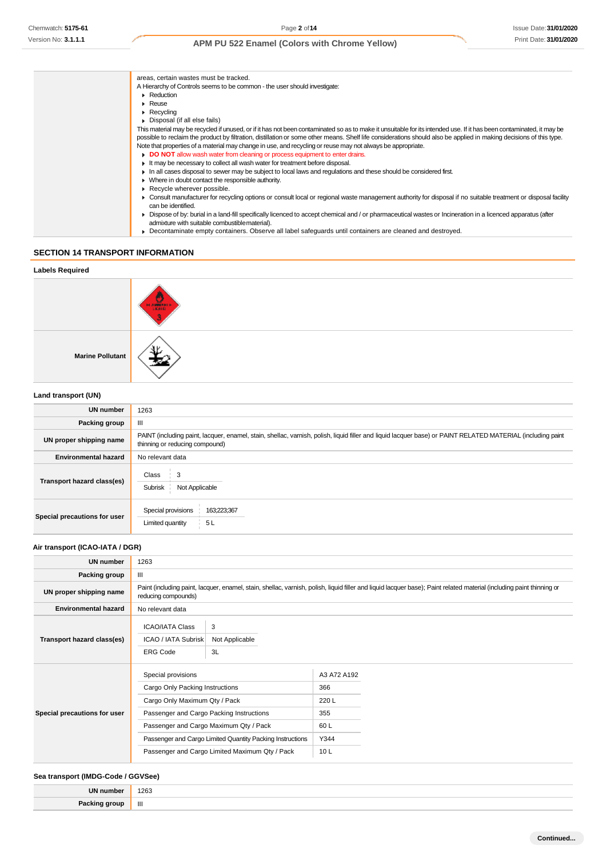| areas, certain wastes must be tracked.                                                                                                                                                                          |
|-----------------------------------------------------------------------------------------------------------------------------------------------------------------------------------------------------------------|
| A Hierarchy of Controls seems to be common - the user should investigate:                                                                                                                                       |
| • Reduction                                                                                                                                                                                                     |
| $\triangleright$ Reuse                                                                                                                                                                                          |
| $\triangleright$ Recycling                                                                                                                                                                                      |
| • Disposal (if all else fails)                                                                                                                                                                                  |
| This material may be recycled if unused, or if it has not been contaminated so as to make it unsuitable for its intended use. If it has been contaminated, it may be                                            |
| possible to reclaim the product by filtration, distillation or some other means. Shelf life considerations should also be applied in making decisions of this type.                                             |
| Note that properties of a material may change in use, and recycling or reuse may not always be appropriate.                                                                                                     |
| DO NOT allow wash water from cleaning or process equipment to enter drains.                                                                                                                                     |
| It may be necessary to collect all wash water for treatment before disposal.                                                                                                                                    |
| In all cases disposal to sewer may be subject to local laws and regulations and these should be considered first.                                                                                               |
| • Where in doubt contact the responsible authority.                                                                                                                                                             |
| Recycle wherever possible.                                                                                                                                                                                      |
| • Consult manufacturer for recycling options or consult local or regional waste management authority for disposal if no suitable treatment or disposal facility<br>can be identified.                           |
| • Dispose of by: burial in a land-fill specifically licenced to accept chemical and / or pharmaceutical wastes or Incineration in a licenced apparatus (after<br>admixture with suitable combustible material). |
| ► Decontaminate empty containers. Observe all label safequards until containers are cleaned and destroyed.                                                                                                      |
|                                                                                                                                                                                                                 |

### **SECTION 14 TRANSPORT INFORMATION**

| <b>Labels Required</b>  |        |
|-------------------------|--------|
|                         | HAMBER |
| <b>Marine Pollutant</b> |        |
| Land transport (LIN)    |        |

#### **Land transport (UN)**

| <b>UN number</b>             | 1263                                                                                                                                                                                          |  |
|------------------------------|-----------------------------------------------------------------------------------------------------------------------------------------------------------------------------------------------|--|
| Packing group                | Ш                                                                                                                                                                                             |  |
| UN proper shipping name      | PAINT (including paint, lacquer, enamel, stain, shellac, varnish, polish, liquid filler and liquid lacquer base) or PAINT RELATED MATERIAL (including paint<br>thinning or reducing compound) |  |
| <b>Environmental hazard</b>  | No relevant data                                                                                                                                                                              |  |
| Transport hazard class(es)   | Class<br>$\frac{1}{2}$ 3<br>Subrisk<br>Not Applicable                                                                                                                                         |  |
| Special precautions for user | Special provisions<br>163;223;367<br>Limited quantity<br>5L                                                                                                                                   |  |

### **Air transport (ICAO-IATA / DGR)**

| <b>UN number</b>             | 1263                                                                                                                                                                                         |                           |                                                   |  |
|------------------------------|----------------------------------------------------------------------------------------------------------------------------------------------------------------------------------------------|---------------------------|---------------------------------------------------|--|
| Packing group                | Ш                                                                                                                                                                                            |                           |                                                   |  |
| UN proper shipping name      | Paint (including paint, lacquer, enamel, stain, shellac, varnish, polish, liquid filler and liquid lacquer base); Paint related material (including paint thinning or<br>reducing compounds) |                           |                                                   |  |
| <b>Environmental hazard</b>  | No relevant data                                                                                                                                                                             |                           |                                                   |  |
| Transport hazard class(es)   | <b>ICAO/IATA Class</b><br><b>ICAO / IATA Subrisk</b><br><b>ERG Code</b>                                                                                                                      | 3<br>Not Applicable<br>3L |                                                   |  |
| Special precautions for user | Special provisions<br>Cargo Only Packing Instructions<br>Cargo Only Maximum Qty / Pack<br>Passenger and Cargo Packing Instructions<br>Passenger and Cargo Maximum Qty / Pack                 |                           | A3 A72 A192<br>366<br>220L<br>355<br>60 L<br>Y344 |  |
|                              | Passenger and Cargo Limited Quantity Packing Instructions<br>Passenger and Cargo Limited Maximum Qty / Pack                                                                                  |                           | 10L                                               |  |

### **Sea transport (IMDG-Code / GGVSee)**

| ш | 1263<br>$\sim$ $\sim$ |
|---|-----------------------|
|   | <br>Ш                 |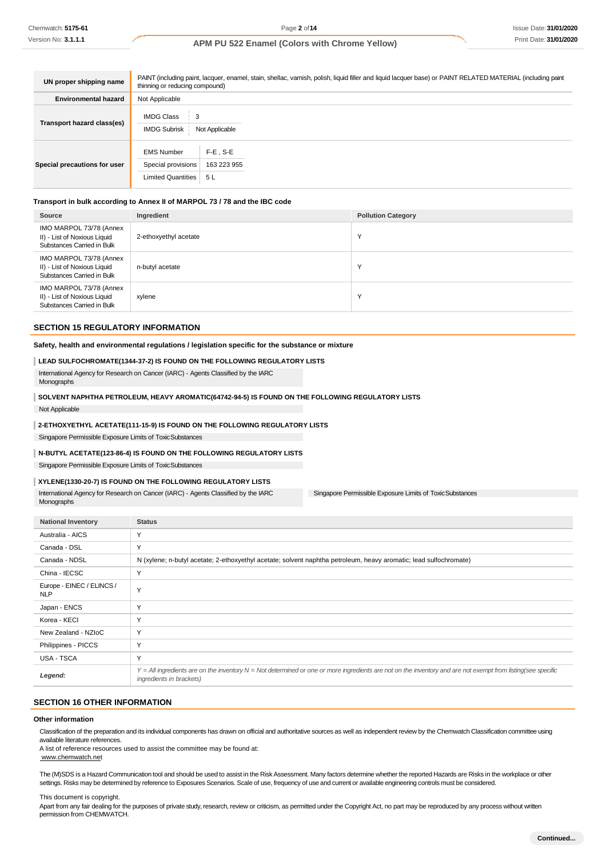| UN proper shipping name      | PAINT (including paint, lacquer, enamel, stain, shellac, varnish, polish, liquid filler and liquid lacquer base) or PAINT RELATED MATERIAL (including paint<br>thinning or reducing compound) |                                   |  |
|------------------------------|-----------------------------------------------------------------------------------------------------------------------------------------------------------------------------------------------|-----------------------------------|--|
| <b>Environmental hazard</b>  | Not Applicable                                                                                                                                                                                |                                   |  |
| Transport hazard class(es)   | <b>IMDG Class</b><br>3<br><b>IMDG Subrisk</b>                                                                                                                                                 | Not Applicable                    |  |
| Special precautions for user | <b>EMS Number</b><br>Special provisions<br>Limited Quantities                                                                                                                                 | $F-E$ . S-E<br>163 223 955<br>5 L |  |

#### **Transport in bulk according to Annex II of MARPOL 73 / 78 and the IBC code**

| Source                                                                                | Ingredient            | <b>Pollution Category</b> |
|---------------------------------------------------------------------------------------|-----------------------|---------------------------|
| IMO MARPOL 73/78 (Annex<br>II) - List of Noxious Liquid<br>Substances Carried in Bulk | 2-ethoxyethyl acetate | $\checkmark$              |
| IMO MARPOL 73/78 (Annex<br>II) - List of Noxious Liquid<br>Substances Carried in Bulk | n-butyl acetate       | $\checkmark$              |
| IMO MARPOL 73/78 (Annex<br>II) - List of Noxious Liquid<br>Substances Carried in Bulk | xylene                | $\checkmark$              |

#### **SECTION 15 REGULATORY INFORMATION**

#### **Safety, health and environmental regulations / legislation specific for the substance or mixture**

#### **LEAD SULFOCHROMATE(1344-37-2) IS FOUND ON THE FOLLOWING REGULATORY LISTS**

International Agency for Research on Cancer (IARC) - Agents Classified by the IARC Monographs

# **SOLVENT NAPHTHA PETROLEUM, HEAVY AROMATIC(64742-94-5) IS FOUND ON THE FOLLOWING REGULATORY LISTS**

Not Applicable

#### **2-ETHOXYETHYL ACETATE(111-15-9) IS FOUND ON THE FOLLOWING REGULATORY LISTS**

Singapore Permissible Exposure Limits of ToxicSubstances

#### **N-BUTYL ACETATE(123-86-4) IS FOUND ON THE FOLLOWING REGULATORY LISTS**

Singapore Permissible Exposure Limits of ToxicSubstances

#### **XYLENE(1330-20-7) IS FOUND ON THE FOLLOWING REGULATORY LISTS**

International Agency for Research on Cancer (IARC) - Agents Classified by the IARC Monographs

Singapore Permissible Exposure Limits of ToxicSubstances

| <b>National Inventory</b>               | <b>Status</b>                                                                                                                                                                            |
|-----------------------------------------|------------------------------------------------------------------------------------------------------------------------------------------------------------------------------------------|
| Australia - AICS                        | Y                                                                                                                                                                                        |
| Canada - DSL                            | Y                                                                                                                                                                                        |
| Canada - NDSL                           | N (xylene; n-butyl acetate; 2-ethoxyethyl acetate; solvent naphtha petroleum, heavy aromatic; lead sulfochromate)                                                                        |
| China - IECSC                           | $\vee$                                                                                                                                                                                   |
| Europe - EINEC / ELINCS /<br><b>NLP</b> | $\checkmark$                                                                                                                                                                             |
| Japan - ENCS                            | Y                                                                                                                                                                                        |
| Korea - KECI                            | Y                                                                                                                                                                                        |
| New Zealand - NZIoC                     | Y                                                                                                                                                                                        |
| Philippines - PICCS                     | Y                                                                                                                                                                                        |
| USA - TSCA                              | Y                                                                                                                                                                                        |
| Legend:                                 | Y = All ingredients are on the inventory N = Not determined or one or more ingredients are not on the inventory and are not exempt from listing(see specific<br>ingredients in brackets) |

#### **SECTION 16 OTHER INFORMATION**

#### **Other information**

Classification of the preparation and its individual components has drawn on official and authoritative sources as well as independent review by the Chemwatch Classification committee using available literature references.

A list of reference resources used to assist the committee may be found at:

[www.chemwatch.net](http://www.chemwatch.net/)

The (M)SDS is a Hazard Communication tool and should be used to assist in the Risk Assessment. Many factors determine whether the reported Hazards are Risks in the workplace or other settings. Risks may be determined by reference to Exposures Scenarios. Scale of use, frequency of use and current or available engineering controls must be considered.

#### This document is copyright.

Apart from any fair dealing for the purposes of private study, research, review or criticism, as permitted under the Copyright Act, no part may be reproduced by any process without written permission from CHEMWATCH.